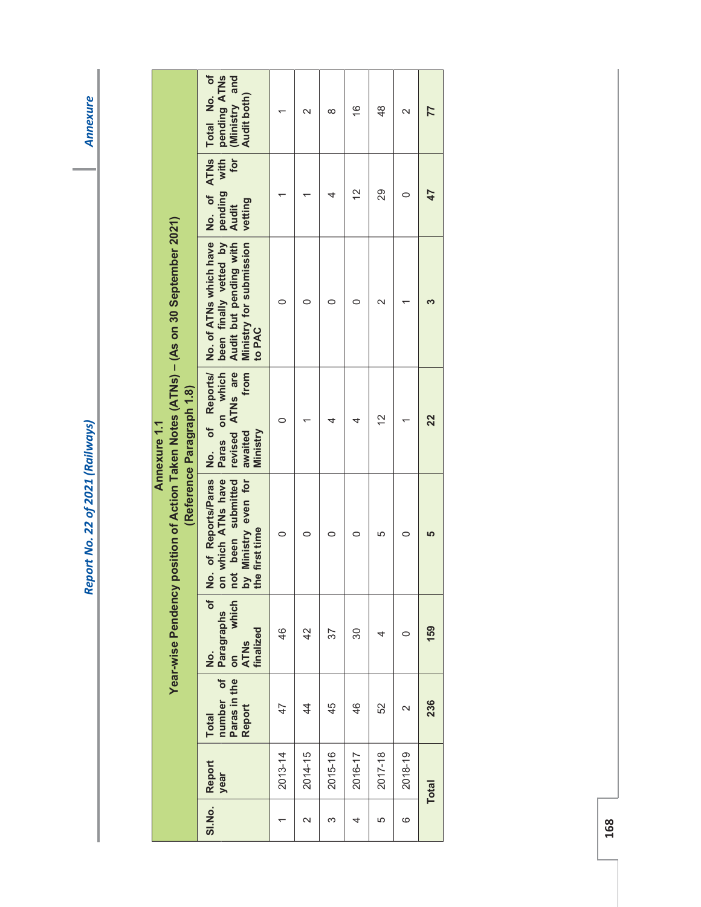|                                                                   |                           | Total No. of<br>pending ATNs<br>(Ministry and<br>Audit both)                                                                     |             | $\mathbf{\Omega}$ | $\infty$ | $\frac{6}{5}$ | $\frac{8}{4}$      | $\overline{\mathsf{c}}$ | 77           |
|-------------------------------------------------------------------|---------------------------|----------------------------------------------------------------------------------------------------------------------------------|-------------|-------------------|----------|---------------|--------------------|-------------------------|--------------|
|                                                                   |                           | No. of ATNs<br>with<br>for<br>pending<br>vetting<br>Audit                                                                        |             |                   | 4        | $\tilde{c}$   | 29                 | 0                       |              |
| position of Action Taken Notes (ATNs) - (As on 30 September 2021) |                           | No. of ATNs which have<br>been finally vetted by<br>Audit but pending with<br>Ministry for submission<br>to PAC                  | 0           |                   | 0        | c             | $\scriptstyle\sim$ |                         |              |
| Annexure 1.1                                                      | (Reference Paragraph 1.8) | on which<br>revised ATNs are<br>from<br>of Reports/<br>Ministry<br>awaited<br><b>Paras</b><br>$\frac{1}{2}$                      | 0           |                   |          |               | 2                  |                         | 22           |
|                                                                   |                           | No. of Reports/Paras<br>on which ATNs have<br>Ministry even for<br>been submitted<br>not been s<br>by Ministry<br>the first time | 0           | c                 | 0        | 0             | 5                  | c                       |              |
| Year-wise Pendency                                                |                           | which<br>ð<br><b>Paragraphs</b><br>finalized<br><b>ATNs</b><br>$\dot{\mathbf{z}}$                                                | 46          | $\overline{4}$    | 57       | 30            | 4                  | 0                       | 159          |
|                                                                   |                           | number of<br>Paras in the<br>Report<br><b>Total</b>                                                                              | 47          | $\frac{4}{4}$     | 45       | 46            | 52                 | $\scriptstyle\sim$      | 236          |
|                                                                   |                           | Report<br>year                                                                                                                   | $2013 - 14$ | $2014 - 15$       | 2015-16  | 2016-17       | $2017 - 18$        | 2018-19                 | <b>Total</b> |
|                                                                   |                           | SI.No.                                                                                                                           |             | $\mathbf{\Omega}$ | ო        | 4             | 5                  | ဖ                       |              |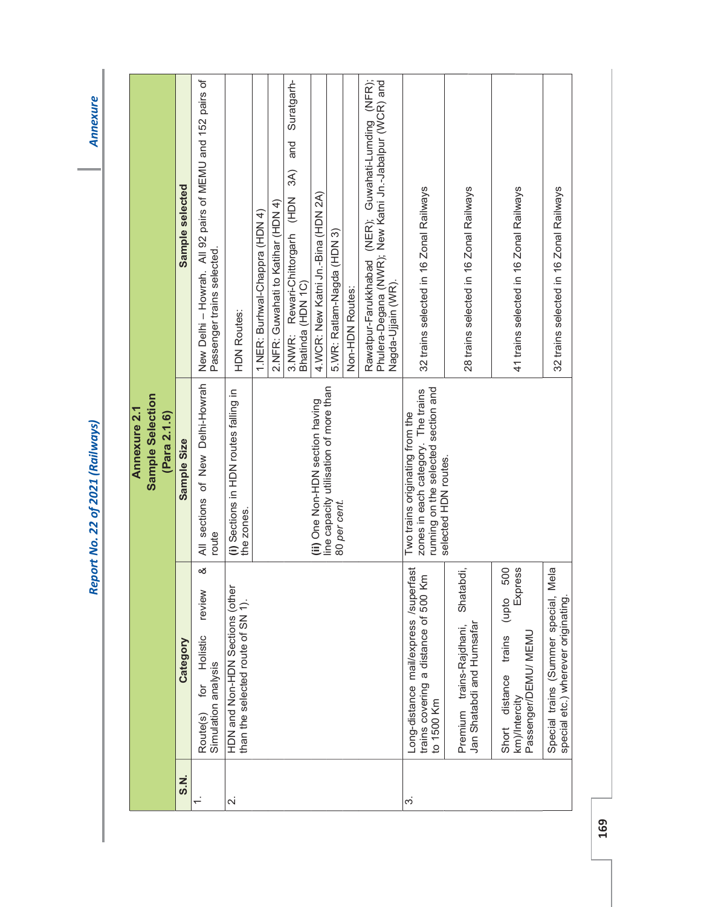**Annexure** 

| Sample Selection<br><b>Annexure 2.1</b> | (Para 2.1.6) | Sample selected<br>Sample Size | New Delhi - Howrah. All 92 pairs of MEMU and 152 pairs of<br>Passenger trains selected.<br>All sections of New Delhi-Howrah | <b>HDN Routes:</b><br>(i) Sections in HDN routes falling in          | 1.NER: Burhwal-Chappra (HDN 4) | 2. NFR: Guwahati to Katihar (HDN 4) | Suratgarh-<br>and<br>3A)<br>Rewari-Chittorgarh (HDN<br>Bhatinda (HDN 1C)<br>3.NWR: | 4.WCR: New Katni Jn.-Bina (HDN 2A)<br>(ii) One Non-HDN section having | 5.WR: Ratlam-Nagda (HDN 3)<br>line capacity utilisation of more than | Non-HDN Routes: | Rawatpur-Farukkhabad (NER); Guwahati-Lumding (NFR);<br>Phulera-Degana (NWR); New Katni Jn.-Jabalpur (WCR) and<br>Nagda-Ujjain (WR). | 32 trains selected in 16 Zonal Railways<br>running on the selected section and<br>zones in each category. The trains<br>Two trains originating from the | 28 trains selected in 16 Zonal Railways                            | 41 trains selected in 16 Zonal Railways                                                         | 32 trains selected in 16 Zonal Railways                                     |
|-----------------------------------------|--------------|--------------------------------|-----------------------------------------------------------------------------------------------------------------------------|----------------------------------------------------------------------|--------------------------------|-------------------------------------|------------------------------------------------------------------------------------|-----------------------------------------------------------------------|----------------------------------------------------------------------|-----------------|-------------------------------------------------------------------------------------------------------------------------------------|---------------------------------------------------------------------------------------------------------------------------------------------------------|--------------------------------------------------------------------|-------------------------------------------------------------------------------------------------|-----------------------------------------------------------------------------|
|                                         |              |                                | route                                                                                                                       | the zones.                                                           |                                |                                     |                                                                                    |                                                                       | 80 per cent.                                                         |                 |                                                                                                                                     | selected HDN routes.                                                                                                                                    |                                                                    |                                                                                                 |                                                                             |
|                                         |              | Category                       | ∞<br>review<br>Holistic<br>Simulation analysis<br>for<br>Route(s)                                                           | HDN and Non-HDN Sections (other<br>than the selected route of SN 1). |                                |                                     |                                                                                    |                                                                       |                                                                      |                 |                                                                                                                                     | Long-distance mail/express /superfast<br>Ē<br>trains covering a distance of 500 K<br>to 1500 Km                                                         | Shatabdi,<br>Jan Shatabdi and Humsafar<br>Premium trains-Rajdhani, | Express<br>500<br>(upto<br>Passenger/DEMU/ MEMU<br>trains<br>distance<br>km)/Intercity<br>Short | Special trains (Summer special, Mela<br>special etc.) wherever originating. |
|                                         |              | S.N.                           |                                                                                                                             | $\sim$                                                               |                                |                                     |                                                                                    |                                                                       |                                                                      |                 |                                                                                                                                     | က                                                                                                                                                       |                                                                    |                                                                                                 |                                                                             |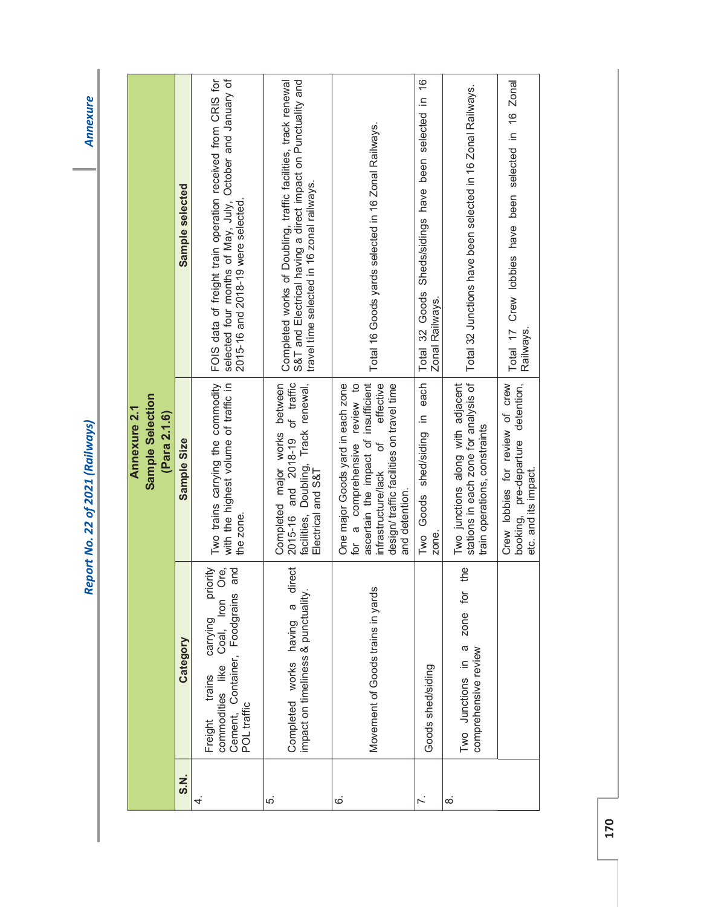**Annexure** 

|          |                                                                                                                                                 | Sample Selection<br>Annexure 2.1<br>(Para 2.1.6)                                                                                                                                                                                     |                                                                                                                                                                              |
|----------|-------------------------------------------------------------------------------------------------------------------------------------------------|--------------------------------------------------------------------------------------------------------------------------------------------------------------------------------------------------------------------------------------|------------------------------------------------------------------------------------------------------------------------------------------------------------------------------|
| S.N.     | Category                                                                                                                                        | Sample Size                                                                                                                                                                                                                          | Sample selected                                                                                                                                                              |
| 4.       | Ore <sub>i</sub><br>Dug<br>priority<br>Cement, Container, Foodgrains<br>Freight trains carrying p<br>commodities like Coal, Iron<br>POL traffic | Two trains carrying the commodity<br>with the highest volume of traffic in<br>the zone                                                                                                                                               | FOIS data of freight train operation received from CRIS for<br>selected four months of May, July, October and January of<br>2015-16 and 2018-19 were selected                |
| ξ.       | Completed works having a direct<br>impact on timeliness & punctuality.                                                                          | 2015-16 and 2018-19 of traffic<br>Completed major works between<br>facilities, Doubling, Track renewal,<br>Electrical and S&T                                                                                                        | Completed works of Doubling, traffic facilities, track renewal<br>S&T and Electrical having a direct impact on Punctuality and<br>travel time selected in 16 zonal railways. |
| ق        | Movement of Goods trains in yards                                                                                                               | ascertain the impact of insufficient<br>for a comprehensive review to<br>effective<br>One major Goods yard in each zone<br>design/ traffic facilities on travel time<br>$\overline{\sigma}$<br>infrastructure/lack<br>and detention. | Total 16 Goods yards selected in 16 Zonal Railways.                                                                                                                          |
|          | Goods shed/siding                                                                                                                               | shed/siding in each<br>Goods<br>zone.<br>Two                                                                                                                                                                                         | Sheds/sidings have been selected in 16<br>Total 32 Goods<br>Zonal Railways.                                                                                                  |
| $\infty$ | the<br>ğ<br>zone<br>Two Junctions in a<br>comprehensive review                                                                                  | stations in each zone for analysis of<br>Two junctions along with adjacent<br>train operations, constraints                                                                                                                          | Total 32 Junctions have been selected in 16 Zonal Railways.                                                                                                                  |
|          |                                                                                                                                                 | Crew lobbies for review of crew<br>booking, pre-departure detention,<br>etc. and its impact.                                                                                                                                         | Total 17 Crew lobbies have been selected in 16 Zonal<br>Railways                                                                                                             |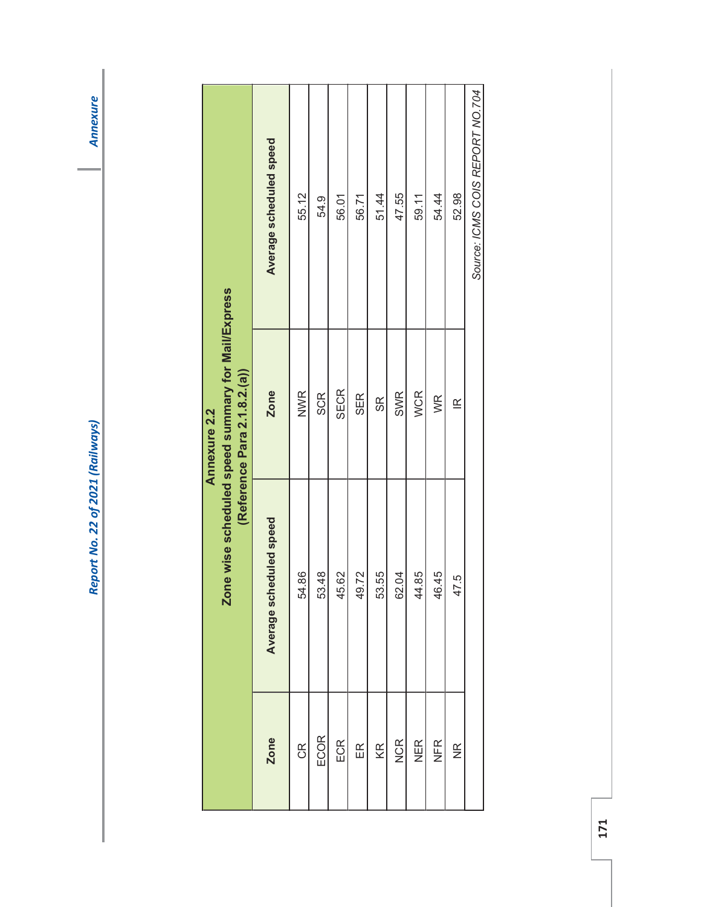| Report No. 22 of 2021 (Raily |
|------------------------------|
|                              |

|                    |                         | Zone wise scheduled speed summary for Mail/Express<br><b>Annexure 2.2</b> |                                 |
|--------------------|-------------------------|---------------------------------------------------------------------------|---------------------------------|
|                    |                         | (Reference Para 2.1.8.2.(a))                                              |                                 |
| Zone               | Average scheduled speed | Zone                                                                      | Average scheduled speed         |
| $\frac{R}{C}$      | 54.86                   | <b>NWR</b>                                                                | 55.12                           |
| ECOR               | 53.48                   | <b>SCR</b>                                                                | 54.9                            |
| ECR                | 45.62                   | <b>SECR</b>                                                               | 56.01                           |
| $\mathbb{E}$       | 49.72                   | <b>SER</b>                                                                | 56.71                           |
| KR                 | 53.55                   | $\frac{8}{2}$                                                             | 51.44                           |
| <b>NCR</b>         | 62.04                   | <b>SWR</b>                                                                | 47.55                           |
| <b>NER</b>         | 44.85                   | <b>WCR</b>                                                                | 59.11                           |
| NFR                | 46.45                   | WR                                                                        | 54.44                           |
| $\frac{\alpha}{2}$ | 47.5                    | $\leq$                                                                    | 52.98                           |
|                    |                         |                                                                           | Source: ICMS COIS REPORT NO.704 |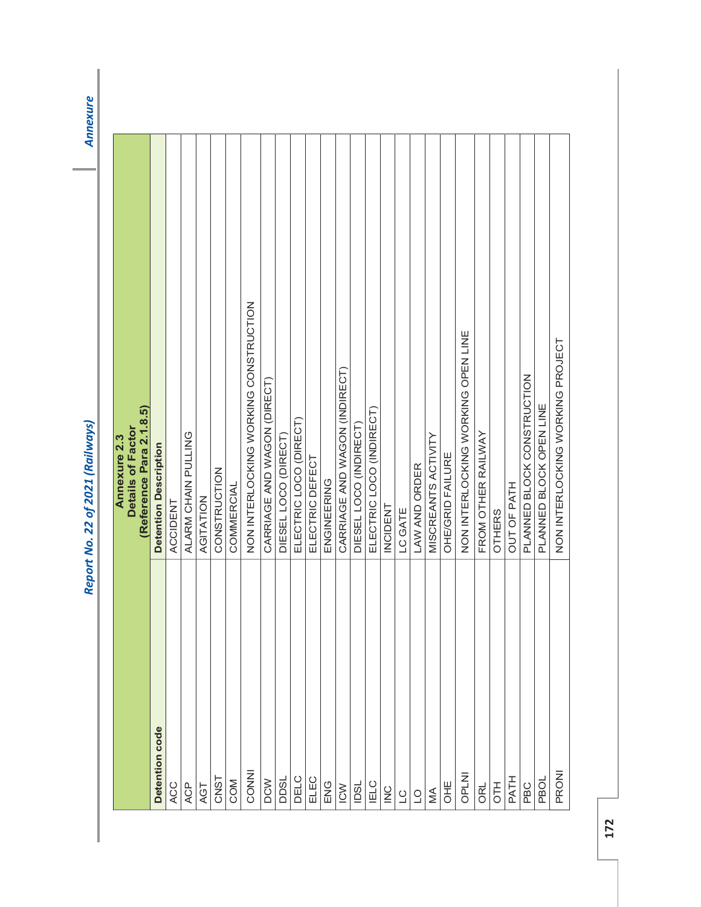|                                               | (Reference Para 2.1.8.5)<br>Annexure 2.3<br>Details of Factor |
|-----------------------------------------------|---------------------------------------------------------------|
| Detention code                                | <b>Detention Description</b>                                  |
| <b>ACC</b>                                    | ACCIDENT                                                      |
| <b>ACP</b>                                    | ALARM CHAIN PULLING                                           |
| AGT                                           | AGITATION                                                     |
| CNST                                          | CONSTRUCTION                                                  |
| COM                                           | COMMERCIAL                                                    |
| CONNI                                         | NON INTERLOCKING WORKING CONSTRUCTION                         |
| <b>DCW</b>                                    | CARRIAGE AND WAGON (DIRECT)                                   |
| DDSL                                          | DIESEL LOCO (DIRECT)                                          |
| DELC                                          | ELECTRIC LOCO (DIRECT)                                        |
| ELEC                                          | ELECTRIC DEFECT                                               |
|                                               | ENGINEERING                                                   |
| $rac{1}{\sqrt{2}}$                            | CARRIAGE AND WAGON (INDIRECT)                                 |
| <b>IDSL</b>                                   | DIESEL LOCO (INDIRECT)                                        |
| <b>IELC</b>                                   | ELECTRIC LOCO (INDIRECT)                                      |
| $\geq$                                        | <b>INCIDENT</b>                                               |
| $\begin{array}{c} 1 & 0 \\ 0 & 1 \end{array}$ | LC GATE                                                       |
|                                               | LAW AND ORDER                                                 |
| $\mathbb{A}$                                  | MISCREANTS ACTIVITY                                           |
| <b>JHE</b>                                    | OHE/GRID FAILURE                                              |
| <b>OPLNI</b>                                  | NON INTERLOCKING WORKING OPEN LINE                            |
| ORL                                           | FROM OTHER RAILWAY                                            |
| <b>H1O</b>                                    | <b>OTHERS</b>                                                 |
| PATH                                          | <b>OUT OF PATH</b>                                            |
| PBC                                           | PLANNED BLOCK CONSTRUCTION                                    |
| PBOL                                          | PLANNED BLOCK OPEN LINE                                       |
| PRONI                                         | NON INTERLOCKING WORKING PROJECT                              |
|                                               |                                                               |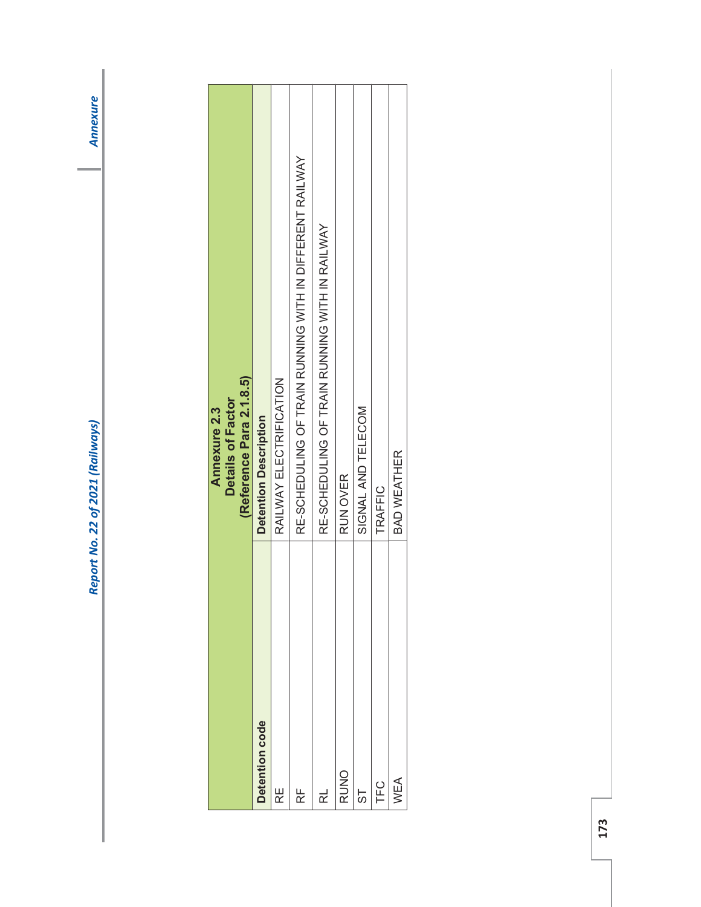| <b>AND VIII</b>                 |
|---------------------------------|
|                                 |
|                                 |
|                                 |
|                                 |
|                                 |
|                                 |
| Report No. 22 of 2021 (Railways |

|                | (Reference Para 2.1.8.5)<br>Details of Factor<br><b>Annexure 2.3</b> |
|----------------|----------------------------------------------------------------------|
| Detention code | <b>Detention Description</b>                                         |
| 足              | RAILWAY ELECTRIFICATION                                              |
| 岀              | RE-SCHEDULING OF TRAIN RUNNING WITH IN DIFFERENT RAILWAY             |
| 군              | RE-SCHEDULING OF TRAIN RUNNING WITH IN RAILWAY                       |
| <b>RUNO</b>    | RUN OVER                                                             |
| ST             | SIGNAL AND TELECOM                                                   |
| LC<br>上        | TRAFFIC                                                              |
| NEA            | BAD WEATHER                                                          |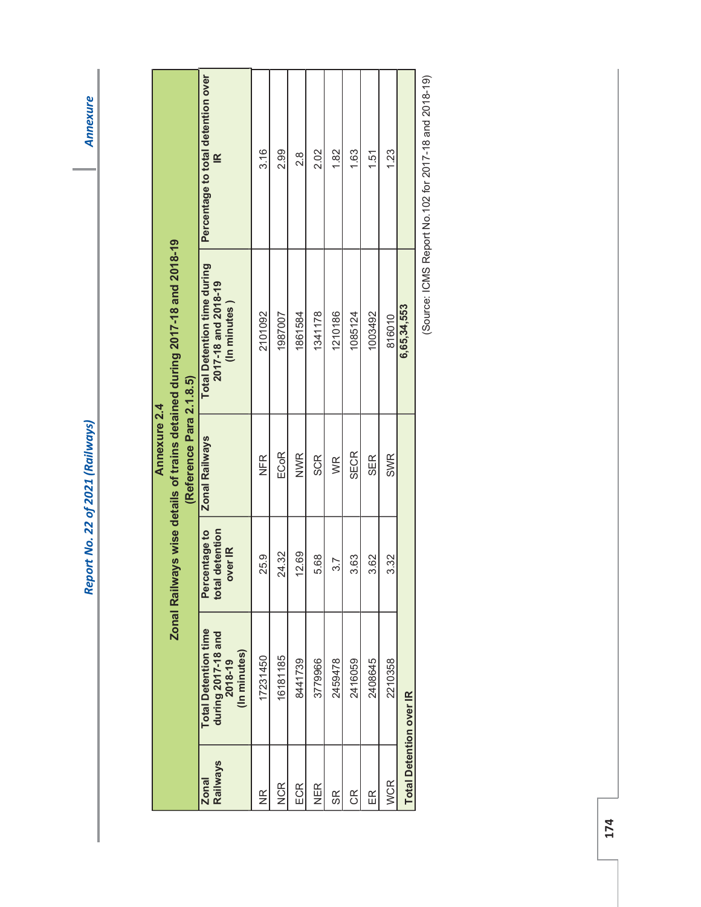**Annexure** 

|                                 |                                                                              |                                                     | (Reference Para 2.1.8.5)<br>Annexure 2.4 | Zonal Railways wise details of trains detained during 2017-18 and 2018-19 |                                              |
|---------------------------------|------------------------------------------------------------------------------|-----------------------------------------------------|------------------------------------------|---------------------------------------------------------------------------|----------------------------------------------|
| <b>Railways</b><br><b>Zonal</b> | <b>Total Detention time</b><br>during 2017-18 and<br>2018-19<br>(In minutes) | centage to<br>detention<br>over IR<br>Perd<br>total | <b>Zonal Railways</b>                    | <b>Total Detention time during</b><br>2017-18 and 2018-19<br>(In minutes) | Percentage to total detention over<br>$\leq$ |
| $\frac{\alpha}{2}$              | 17231450                                                                     | 25.9                                                | NFR                                      | 2101092                                                                   | 3.16                                         |
| <b>NCR</b>                      | 16181185                                                                     | 24.32                                               | <b>ECoR</b>                              | 1987007                                                                   | 2.99                                         |
| ECR                             | 8441739                                                                      | 12.69                                               | <b>NWR</b>                               | 1861584                                                                   | 8.S                                          |
| NER                             | 3779966                                                                      | 5.68                                                | SCR                                      | 1341178                                                                   | 2.02                                         |
| SR                              | 2459478                                                                      | 3.7                                                 | WR                                       | 1210186                                                                   | 1.82                                         |
| E                               | 2416059                                                                      | 3.63                                                | <b>SECR</b>                              | 1085124                                                                   | 1.63                                         |
| $\mathbb{E}$                    | 2408645                                                                      | 3.62                                                | <b>SER</b>                               | 1003492                                                                   | 1.51                                         |
| WCR                             | 2210358                                                                      | 3.32                                                | <b>SWR</b>                               | 816010                                                                    | 1.23                                         |
| <b>Total Detention over IR</b>  |                                                                              |                                                     |                                          | 6,65,34,553                                                               |                                              |
|                                 |                                                                              |                                                     |                                          | C<br>C<br>S<br>S<br>C<br>$\overline{\mathbf{c}}$                          | こうで うてうり ニュー・ウア イアうりょう うりアーニュー               |

(Source: ICMS Report No.102 for 2017-18 and 2018-19) (Source: ICMS Report No.102 for 2017-18 and 2018-19)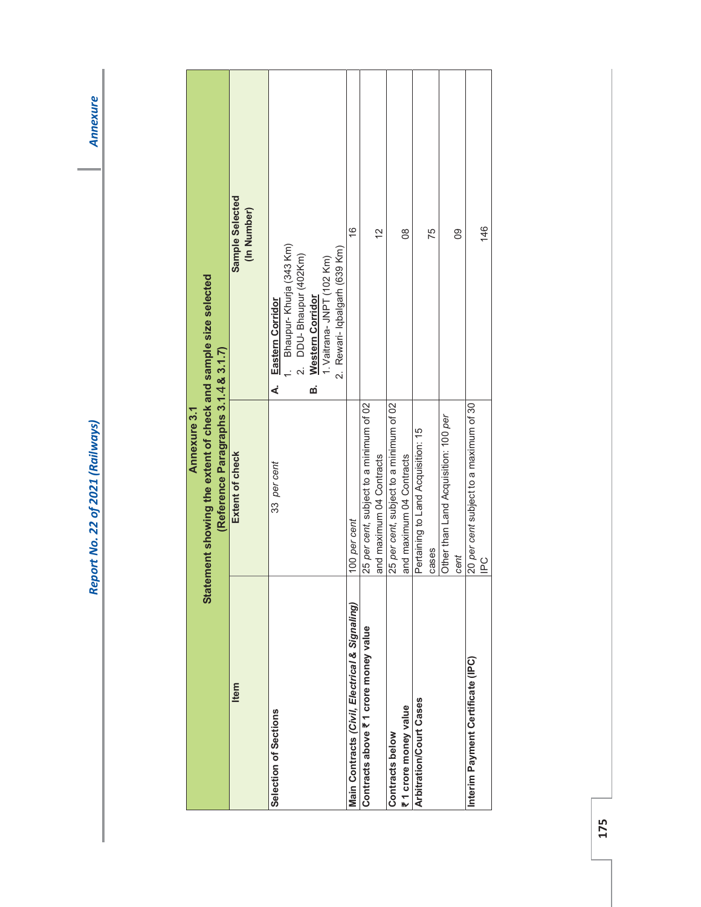| <b>ANNE</b>            |
|------------------------|
|                        |
|                        |
|                        |
|                        |
|                        |
|                        |
|                        |
|                        |
| . NO. 22 of 2021 (Rr." |
|                        |

|                                                | Annexure 3.1                                                                                           |                                                                                                                                                                                 |
|------------------------------------------------|--------------------------------------------------------------------------------------------------------|---------------------------------------------------------------------------------------------------------------------------------------------------------------------------------|
|                                                | Statement showing the extent of check and sample size selected<br>(Reference Paragraphs 3.1.4 & 3.1.7) |                                                                                                                                                                                 |
| Item                                           | Extent of check                                                                                        | Sample Selected<br>(In Number)                                                                                                                                                  |
| Selection of Sections                          | 33 per cent                                                                                            | Bhaupur- Khurja (343 Km)<br>2. Rewari- Iqbalgarh (639 Km)<br>DDU-Bhaupur (402Km)<br>1. Vaitrana- JNPT (102 Km)<br><b>Western Corridor</b><br><b>Eastern Corridor</b><br>മ്<br>∢ |
| Main Contracts (Civil, Electrical & Signaling) | 100 per cent                                                                                           | $\frac{6}{5}$                                                                                                                                                                   |
| Contracts above ₹1 crore money value           | 25 per cent, subject to a minimum of 02<br>and maximum 04 Contracts                                    | $\frac{2}{3}$                                                                                                                                                                   |
| ₹1 crore money value<br>Contracts below        | 25 per cent, subject to a minimum of 02<br>and maximum 04 Contracts                                    | $\frac{8}{2}$                                                                                                                                                                   |
| Arbitration/Court Cases                        | Pertaining to Land Acquisition: 15<br>cases                                                            | 75                                                                                                                                                                              |
|                                                | Other than Land Acquisition: 100 per<br>cent                                                           | 80                                                                                                                                                                              |
| Interim Payment Certificate (IPC)              | 20 per cent subject to a maximum of 30<br>$\frac{1}{10}$                                               | 146                                                                                                                                                                             |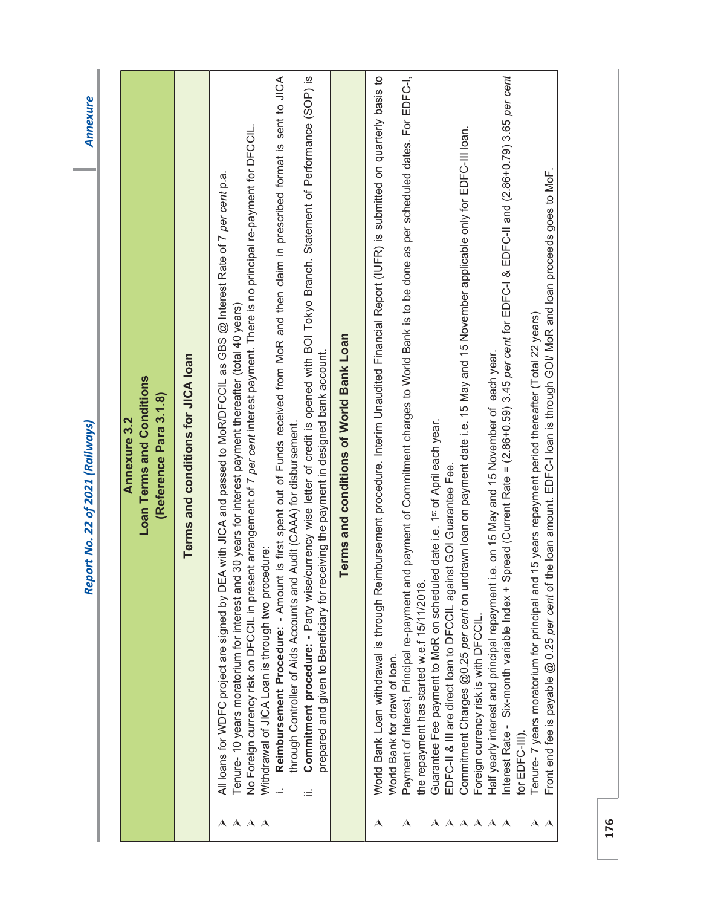| Payment of Interest, Principal re-payment and payment of Commitment charges to World Bank is to be done as per scheduled dates. For EDFC-I,<br>Spread (Current Rate = (2.86+0.59) 3.45 per cent for EDFC-I & EDFC-II and (2.86+0.79) 3.65 per cent<br>Reimbursement Procedure: - Amount is first spent out of Funds received from MoR and then claim in prescribed format is sent to JICA<br>Commitment procedure: - Party wise/currency wise letter of credit is opened with BOI Tokyo Branch. Statement of Performance (SOP) is<br>World Bank Loan withdrawal is through Reimbursement procedure. Interim Unaudited Financial Report (IUFR) is submitted on quarterly basis to<br>No Foreign currency risk on DFCCIL in present arrangement of 7 per cent interest payment. There is no principal re-payment for DFCCIL.<br>Commitment Charges @0.25 per cent on undrawn loan on payment date i.e. 15 May and 15 November applicable only for EDFC-III loan.<br>Front end fee is payable @ 0.25 per cent of the loan amount. EDFC-I loan is through GOI/ MoR and loan proceeds goes to MoF.<br>All loans for WDFC project are signed by DEA with JICA and passed to MoR/DFCCIL as GBS @ Interest Rate of 7 per cent p.a.<br>Tenure- 10 years moratorium for interest and 30 years for interest payment thereafter (total 40 years)<br>Tenure- 7 years moratorium for principal and 15 years repayment period thereafter (Total 22 years)<br>Terms and conditions of World Bank Loan<br>prepared and given to Beneficiary for receiving the payment in designed bank account.<br>Half yearly interest and principal repayment i.e. on 15 May and 15 November of each year.<br>Terms and conditions for JICA loan<br><b>Loan Terms and Conditions</b><br>(Reference Para 3.1.8)<br>Annexure 3.2<br>Guarantee Fee payment to MoR on scheduled date i.e. 1st of April each year.<br>through Controller of Aids Accounts and Audit (CAAA) for disbursement.<br>EDFC-II & III are direct loan to DFCCIL against GOI Guarantee Fee.<br>Withdrawal of JICA Loan is through two procedure:<br>the repayment has started w.e.f 15/11/2018<br>Interest Rate - Six-month variable Index +<br>Foreign currency risk is with DFCCIL.<br>World Bank for drawl of loan.<br>for EDFC-III).<br>Ξ<br>$A$ $A$ $A$ $A$<br>$\boldsymbol{\lambda}$<br>$\mathbf{A}$<br>AAAA<br>$\mathbf{A}$ $\mathbf{A}$<br>$\boldsymbol{\lambda}$<br>$\blacktriangle$ |
|----------------------------------------------------------------------------------------------------------------------------------------------------------------------------------------------------------------------------------------------------------------------------------------------------------------------------------------------------------------------------------------------------------------------------------------------------------------------------------------------------------------------------------------------------------------------------------------------------------------------------------------------------------------------------------------------------------------------------------------------------------------------------------------------------------------------------------------------------------------------------------------------------------------------------------------------------------------------------------------------------------------------------------------------------------------------------------------------------------------------------------------------------------------------------------------------------------------------------------------------------------------------------------------------------------------------------------------------------------------------------------------------------------------------------------------------------------------------------------------------------------------------------------------------------------------------------------------------------------------------------------------------------------------------------------------------------------------------------------------------------------------------------------------------------------------------------------------------------------------------------------------------------------------------------------------------------------------------------------------------------------------------------------------------------------------------------------------------------------------------------------------------------------------------------------------------------------------------------------------------------------------------------------------------------------------------------------------------------------------------------------------------------------------------------------|
|                                                                                                                                                                                                                                                                                                                                                                                                                                                                                                                                                                                                                                                                                                                                                                                                                                                                                                                                                                                                                                                                                                                                                                                                                                                                                                                                                                                                                                                                                                                                                                                                                                                                                                                                                                                                                                                                                                                                                                                                                                                                                                                                                                                                                                                                                                                                                                                                                                  |
|                                                                                                                                                                                                                                                                                                                                                                                                                                                                                                                                                                                                                                                                                                                                                                                                                                                                                                                                                                                                                                                                                                                                                                                                                                                                                                                                                                                                                                                                                                                                                                                                                                                                                                                                                                                                                                                                                                                                                                                                                                                                                                                                                                                                                                                                                                                                                                                                                                  |
|                                                                                                                                                                                                                                                                                                                                                                                                                                                                                                                                                                                                                                                                                                                                                                                                                                                                                                                                                                                                                                                                                                                                                                                                                                                                                                                                                                                                                                                                                                                                                                                                                                                                                                                                                                                                                                                                                                                                                                                                                                                                                                                                                                                                                                                                                                                                                                                                                                  |
|                                                                                                                                                                                                                                                                                                                                                                                                                                                                                                                                                                                                                                                                                                                                                                                                                                                                                                                                                                                                                                                                                                                                                                                                                                                                                                                                                                                                                                                                                                                                                                                                                                                                                                                                                                                                                                                                                                                                                                                                                                                                                                                                                                                                                                                                                                                                                                                                                                  |
|                                                                                                                                                                                                                                                                                                                                                                                                                                                                                                                                                                                                                                                                                                                                                                                                                                                                                                                                                                                                                                                                                                                                                                                                                                                                                                                                                                                                                                                                                                                                                                                                                                                                                                                                                                                                                                                                                                                                                                                                                                                                                                                                                                                                                                                                                                                                                                                                                                  |
|                                                                                                                                                                                                                                                                                                                                                                                                                                                                                                                                                                                                                                                                                                                                                                                                                                                                                                                                                                                                                                                                                                                                                                                                                                                                                                                                                                                                                                                                                                                                                                                                                                                                                                                                                                                                                                                                                                                                                                                                                                                                                                                                                                                                                                                                                                                                                                                                                                  |
|                                                                                                                                                                                                                                                                                                                                                                                                                                                                                                                                                                                                                                                                                                                                                                                                                                                                                                                                                                                                                                                                                                                                                                                                                                                                                                                                                                                                                                                                                                                                                                                                                                                                                                                                                                                                                                                                                                                                                                                                                                                                                                                                                                                                                                                                                                                                                                                                                                  |
|                                                                                                                                                                                                                                                                                                                                                                                                                                                                                                                                                                                                                                                                                                                                                                                                                                                                                                                                                                                                                                                                                                                                                                                                                                                                                                                                                                                                                                                                                                                                                                                                                                                                                                                                                                                                                                                                                                                                                                                                                                                                                                                                                                                                                                                                                                                                                                                                                                  |
|                                                                                                                                                                                                                                                                                                                                                                                                                                                                                                                                                                                                                                                                                                                                                                                                                                                                                                                                                                                                                                                                                                                                                                                                                                                                                                                                                                                                                                                                                                                                                                                                                                                                                                                                                                                                                                                                                                                                                                                                                                                                                                                                                                                                                                                                                                                                                                                                                                  |
|                                                                                                                                                                                                                                                                                                                                                                                                                                                                                                                                                                                                                                                                                                                                                                                                                                                                                                                                                                                                                                                                                                                                                                                                                                                                                                                                                                                                                                                                                                                                                                                                                                                                                                                                                                                                                                                                                                                                                                                                                                                                                                                                                                                                                                                                                                                                                                                                                                  |
|                                                                                                                                                                                                                                                                                                                                                                                                                                                                                                                                                                                                                                                                                                                                                                                                                                                                                                                                                                                                                                                                                                                                                                                                                                                                                                                                                                                                                                                                                                                                                                                                                                                                                                                                                                                                                                                                                                                                                                                                                                                                                                                                                                                                                                                                                                                                                                                                                                  |
|                                                                                                                                                                                                                                                                                                                                                                                                                                                                                                                                                                                                                                                                                                                                                                                                                                                                                                                                                                                                                                                                                                                                                                                                                                                                                                                                                                                                                                                                                                                                                                                                                                                                                                                                                                                                                                                                                                                                                                                                                                                                                                                                                                                                                                                                                                                                                                                                                                  |
|                                                                                                                                                                                                                                                                                                                                                                                                                                                                                                                                                                                                                                                                                                                                                                                                                                                                                                                                                                                                                                                                                                                                                                                                                                                                                                                                                                                                                                                                                                                                                                                                                                                                                                                                                                                                                                                                                                                                                                                                                                                                                                                                                                                                                                                                                                                                                                                                                                  |
|                                                                                                                                                                                                                                                                                                                                                                                                                                                                                                                                                                                                                                                                                                                                                                                                                                                                                                                                                                                                                                                                                                                                                                                                                                                                                                                                                                                                                                                                                                                                                                                                                                                                                                                                                                                                                                                                                                                                                                                                                                                                                                                                                                                                                                                                                                                                                                                                                                  |
|                                                                                                                                                                                                                                                                                                                                                                                                                                                                                                                                                                                                                                                                                                                                                                                                                                                                                                                                                                                                                                                                                                                                                                                                                                                                                                                                                                                                                                                                                                                                                                                                                                                                                                                                                                                                                                                                                                                                                                                                                                                                                                                                                                                                                                                                                                                                                                                                                                  |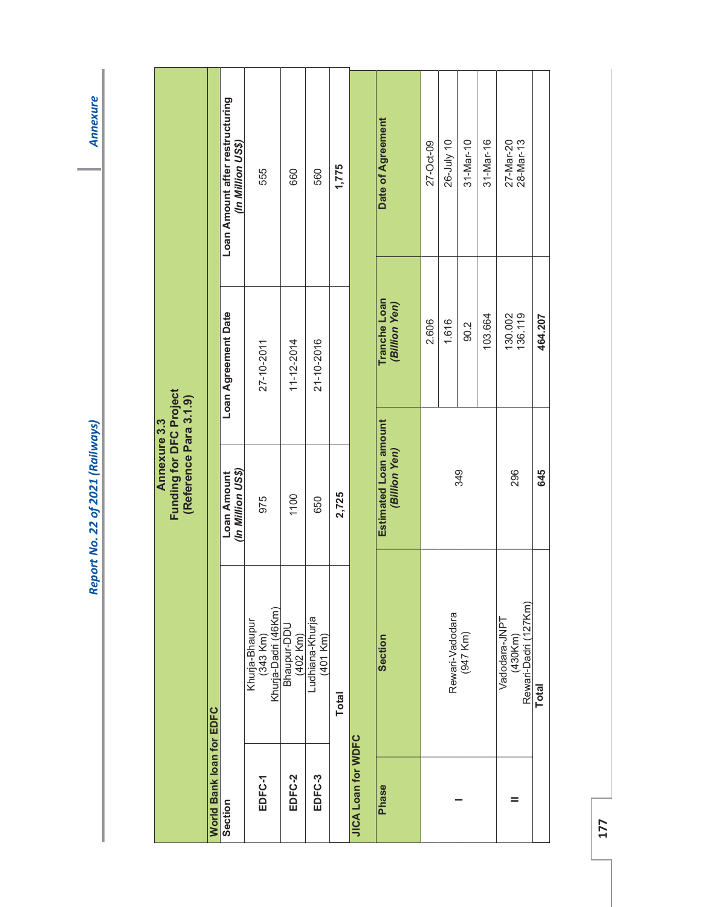|                                                                          |                          | Loan Amount after restructuring<br>(In Million US\$) | 555                                               | 660                          | 560                         | 1,775        |                    | <b>Date of Agreement</b>               | 27-Oct-09 | 26-July 10 | 31-Mar-10                   | 31-Mar-16 | 27-Mar-20<br>28-Mar-13                           |              |
|--------------------------------------------------------------------------|--------------------------|------------------------------------------------------|---------------------------------------------------|------------------------------|-----------------------------|--------------|--------------------|----------------------------------------|-----------|------------|-----------------------------|-----------|--------------------------------------------------|--------------|
|                                                                          |                          | Loan Agreement Date                                  | 27-10-2011                                        | 11-12-2014                   | 21-10-2016                  |              |                    | <b>Tranche Loan</b><br>(Billion Yen)   | 2.606     | 1.616      | 90.2                        | 103.664   | 130.002<br>136.119                               | 464.207      |
| <b>Funding for DFC Project</b><br>(Reference Para 3.1.9)<br>Annexure 3.3 |                          | (In Million US\$)<br>Loan Amount                     | 975                                               | 1100                         | 650                         | 2,725        |                    | Estimated Loan amount<br>(Billion Yen) |           |            | 349                         |           | 296                                              | 645          |
|                                                                          |                          |                                                      | Khurja-Bhaupur<br>(343 Km)<br>Khurja-Dadri (46Km) | Bhaupur-DDU<br>$(402$ Km $)$ | Ludhiana-Khurja<br>(401 Km) | <b>Total</b> |                    | Section                                |           |            | Rewari-Vadodara<br>(947 Km) |           | Rewari-Dadri (127Km)<br>Vadodara-JNPT<br>(430Km) | <b>Total</b> |
|                                                                          | World Bank loan for EDFC | Section                                              | EDFC-1                                            | EDFC-2                       | EDFC-3                      |              | JICA Loan for WDFC | <b>Phase</b>                           |           |            |                             |           |                                                  |              |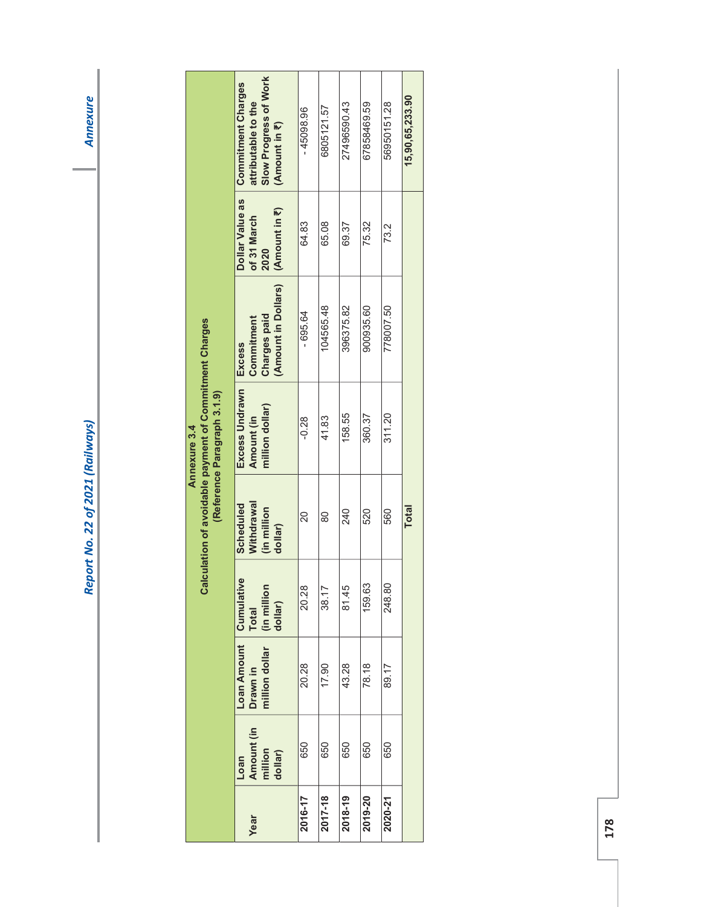**Annexure** 

|                                                                                                       | Slow Progress of Work<br><b>Commitment Charges</b><br>attributable to the<br>(Amount in ₹) | 45098.96 | 6805121.57 | 27496590.43 | 67858469.59 | 56950151.28 | 15,90,65,233.90 |
|-------------------------------------------------------------------------------------------------------|--------------------------------------------------------------------------------------------|----------|------------|-------------|-------------|-------------|-----------------|
|                                                                                                       | Dollar Value as<br>Amount in ₹)<br>of 31 March<br>2020                                     | 64.83    | 65.08      | 69.37       | 75.32       | 73.2        |                 |
|                                                                                                       | (Amount in Dollars)<br><b>Charges paid</b><br>Commitment<br><b>Excess</b>                  | 695.64   | 104565.48  | 396375.82   | 900935.60   | 778007.50   |                 |
| Calculation of avoidable payment of Commitment Charges<br>(Reference Paragraph 3.1.9)<br>Annexure 3.4 | Excess Undrawn<br>million dollar)<br>Amount (in                                            | $-0.28$  | 41.83      | 158.55      | 360.37      | 311.20      |                 |
|                                                                                                       | Withdrawal<br><b>Scheduled</b><br>(in million<br>dollar)                                   | 20       | 80         | 240         | 520         | 560         | <b>Total</b>    |
|                                                                                                       | $\bullet$<br>(in million<br>dollar)<br><b>Total</b>                                        | 20.28    | 38.17      | 81.45       | 159.63      | 248.80      |                 |
|                                                                                                       | Loan Amount   Cumulativ<br>million dollar<br>Drawn in                                      | 20.28    | 17.90      | 43.28       | 78.18       | 89.17       |                 |
|                                                                                                       | Amount (in<br>million<br>dollar)<br>Loan                                                   | 650      | 650        | 650         | 650         | 650         |                 |
|                                                                                                       | Year                                                                                       | 2016-17  | 2017-18    | 2018-19     | 2019-20     | 2020-21     |                 |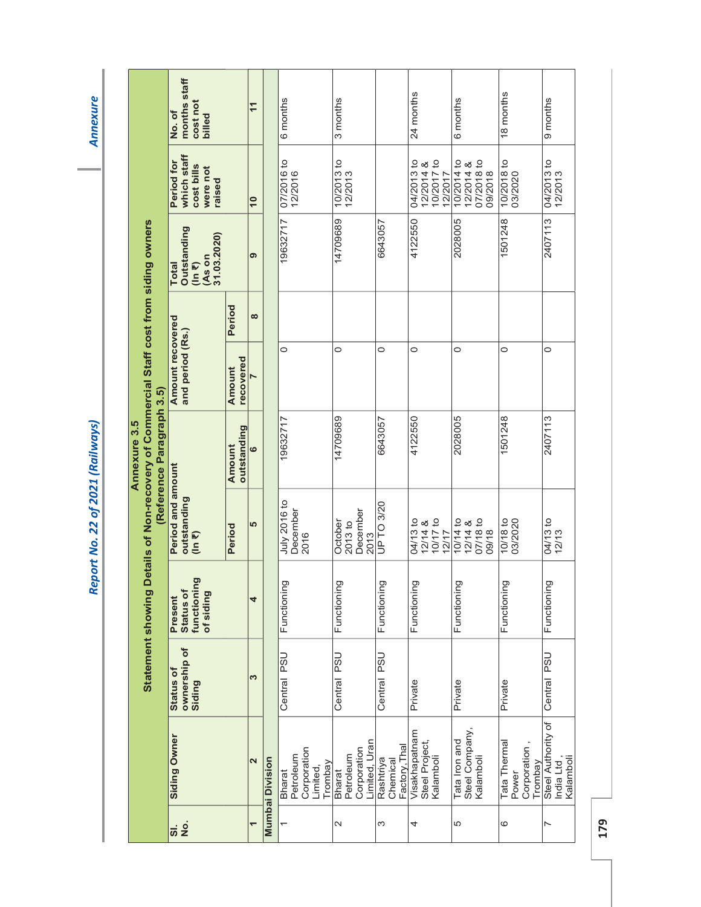**Annexure**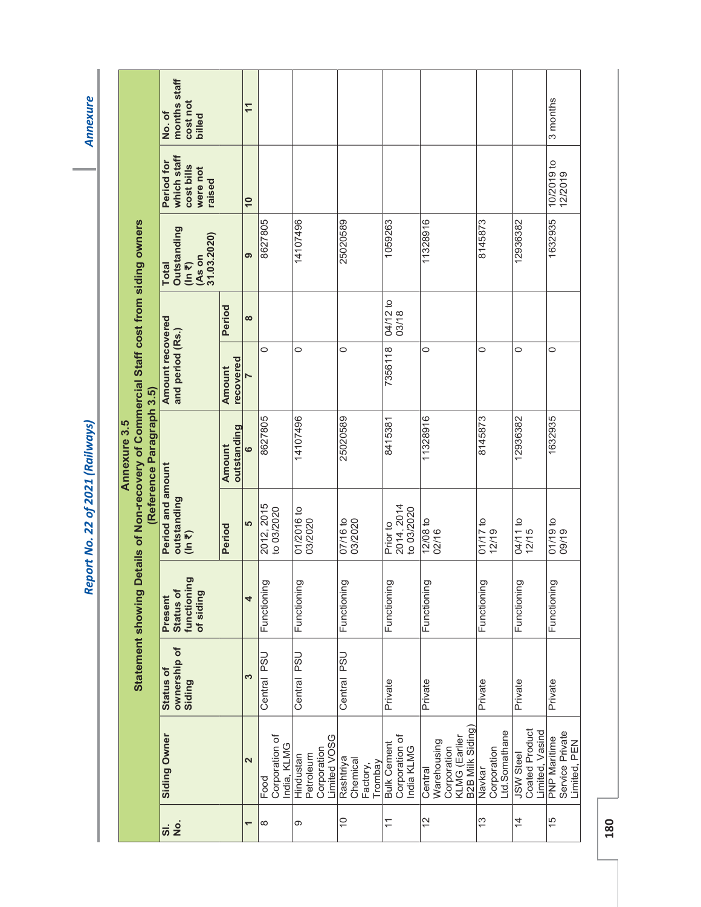**Annexure** 

|                                                                                                                 |                          | months staff<br>cost not<br>No.of<br>billed                                         |                       | $\overline{1}$           |                                       |                                                       |                                              |                                                    |                                                                           |                                        |                                                              | 3 months                                               |
|-----------------------------------------------------------------------------------------------------------------|--------------------------|-------------------------------------------------------------------------------------|-----------------------|--------------------------|---------------------------------------|-------------------------------------------------------|----------------------------------------------|----------------------------------------------------|---------------------------------------------------------------------------|----------------------------------------|--------------------------------------------------------------|--------------------------------------------------------|
|                                                                                                                 |                          | which staff<br>Period for<br>cost bills<br>were not<br>raised                       |                       | $\overline{10}$          |                                       |                                                       |                                              |                                                    |                                                                           |                                        |                                                              | 10/2019 to<br>12/2019                                  |
|                                                                                                                 |                          | <b>Outstanding</b><br>31.03.2020)<br>(As on<br>$(\ln \overline{z})$<br><b>Total</b> |                       | ၈                        | 8627805                               | 14107496                                              | 25020589                                     | 1059263                                            | 11328916                                                                  | 8145873                                | 12936382                                                     | 1632935                                                |
|                                                                                                                 |                          |                                                                                     | Period                | $\infty$                 |                                       |                                                       |                                              | 04/12 to<br>03/18                                  |                                                                           |                                        |                                                              |                                                        |
|                                                                                                                 |                          | Amount recovered<br>and period (Rs.)                                                | recovered<br>Amount   | N                        | 0                                     | $\circ$                                               | 0                                            | 7356118                                            | 0                                                                         | $\circ$                                | 0                                                            | $\circ$                                                |
| Details of Non-recovery of Commercial Staff cost from siding owners<br>Annexure 3.5<br><b>Statement showing</b> | Reference Paragraph 3.5) |                                                                                     | outstanding<br>Amount | ဖ                        | 8627805                               | 14107496                                              | 25020589                                     | 8415381                                            | 11328916                                                                  | 8145873                                | 12936382                                                     | 1632935                                                |
|                                                                                                                 |                          | Period and amount<br>outstanding<br>$($ In $\overline{z}$                           | Period                | LO                       | 2012, 2015<br>to 03/2020              | 01/2016 to<br>03/2020                                 | 07/16 to<br>03/2020                          | 2014, 2014<br>to 03/2020<br>Prior to               | $12/08$ to<br>02/16                                                       | $01/17$ to<br>12/19                    | 04/11 to<br>12/15                                            | $01/19$ to<br>09/19                                    |
|                                                                                                                 |                          | functioning<br>Status of<br>of siding<br>Present                                    |                       | 4                        | Functioning                           | Functioning                                           | Functioning                                  | Functioning                                        | Functioning                                                               | Functioning                            | Functioning                                                  | Functioning                                            |
|                                                                                                                 |                          | ownership of<br>Status of<br>Siding                                                 |                       | S                        | <b>PSU</b><br>Central                 | <b>PSU</b><br>Central                                 | Central PSU                                  | Private                                            | Private                                                                   | Private                                | Private                                                      | Private                                                |
|                                                                                                                 |                          | Siding Owner                                                                        |                       | $\overline{\mathbf{r}}$  | Corporation of<br>India, KLMG<br>Food | Limited VOSG<br>Corporation<br>Petroleum<br>Hindustan | Rashtriya<br>Chemical<br>Trombay<br>Factory, | Corporation of<br><b>Bulk Cement</b><br>India KLMG | B2B Milk Siding<br>Corporation<br>KLMG (Earlier<br>Warehousing<br>Central | Ltd.Somathane<br>Corporation<br>Navkar | <b>Coated Product</b><br>Limited, Vasind<br><b>JSW Steel</b> | Service Private<br><b>PNP Maritime</b><br>Limited, PEN |
|                                                                                                                 |                          | $\vec{a}$ $\vec{a}$                                                                 |                       | $\overline{\phantom{0}}$ | ∞                                     | σ                                                     | $\widetilde{\phantom{a}}$                    | $\widetilde{\cdot}$                                | $\frac{2}{3}$                                                             | $\frac{3}{2}$                          | $\overline{4}$                                               | $\frac{5}{3}$                                          |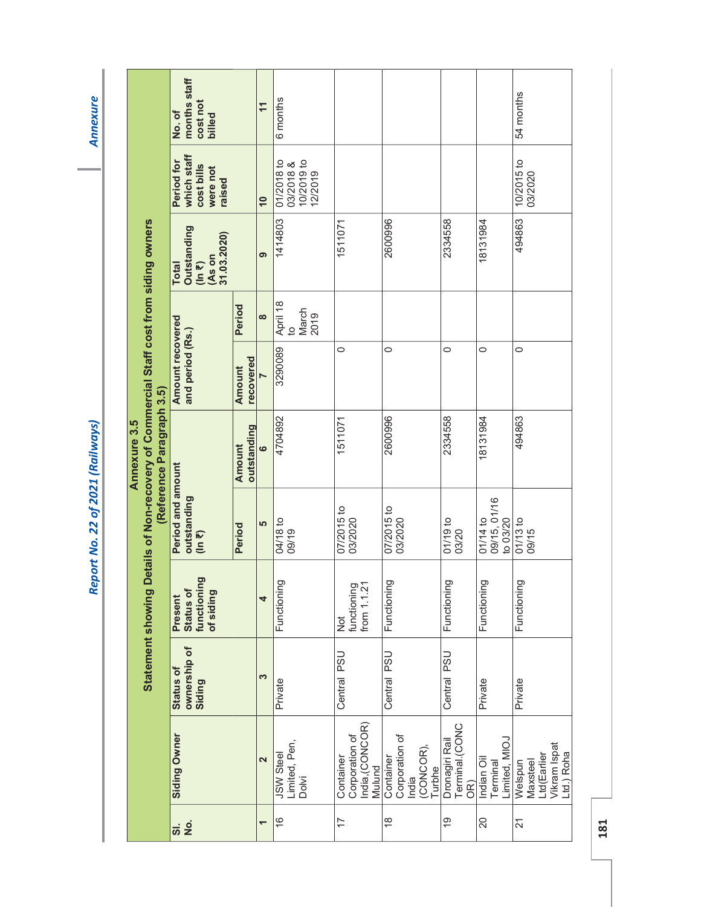Annexure

|                                                                                                       |                           | months staff<br>cost not<br>No.of<br>billed                          |                            | $\overline{1}$  | 6 months                                         |                                                          |                                                            |                                         |                                         | 54 months                                                        |
|-------------------------------------------------------------------------------------------------------|---------------------------|----------------------------------------------------------------------|----------------------------|-----------------|--------------------------------------------------|----------------------------------------------------------|------------------------------------------------------------|-----------------------------------------|-----------------------------------------|------------------------------------------------------------------|
|                                                                                                       |                           | which staff<br>Period for<br>cost bills<br>were not<br>raised        |                            | $\overline{10}$ | 10/2019 to<br>01/2018 to<br>03/2018 &<br>12/2019 |                                                          |                                                            |                                         |                                         | 10/2015 to<br>03/2020                                            |
|                                                                                                       |                           | <b>Outstanding</b><br>31.03.2020)<br>As on<br><b>Total</b><br>(ln 7) |                            | ၈               | 1414803                                          | 1511071                                                  | 2600996                                                    | 2334558                                 | 18131984                                | 494863                                                           |
|                                                                                                       |                           |                                                                      | Period                     | $\infty$        | April 18<br>March<br>2019<br>ġ                   |                                                          |                                                            |                                         |                                         |                                                                  |
|                                                                                                       |                           | Amount recovered<br>and period (Rs.)                                 | recovered<br><b>Amount</b> | N               | 3290089                                          | $\circ$                                                  | $\circ$                                                    | $\circ$                                 | $\circ$                                 | $\circ$                                                          |
| Statement showing Details of Non-recovery of Commercial Staff cost from siding owners<br>Annexure 3.5 | (Reference Paragraph 3.5) |                                                                      | outstanding<br>Amount      | $\bullet$       | 4704892                                          | 1511071                                                  | 2600996                                                    | 2334558                                 | 18131984                                | 494863                                                           |
|                                                                                                       |                           | Period and amount<br>outstanding<br>$(ln \overline{z})$              | Period                     | LO              | 04/18 to<br>09/19                                | 07/2015 to<br>03/2020                                    | 07/2015 to<br>03/2020                                      | 01/19 to<br>03/20                       | 09/15, 01/16<br>to 03/20<br>$01/14$ to  | $01/13$ to<br>09/15                                              |
|                                                                                                       |                           | functioning<br>Status of<br>of siding<br>Present                     |                            | 4               | Functioning                                      | from 1.1.21<br>functioning<br>$\frac{5}{2}$              | Functioning                                                | Functioning                             | Functioning                             | Functioning                                                      |
|                                                                                                       |                           | ownership of<br><b>Status of</b><br>Siding                           |                            | S               | Private                                          | Central PSU                                              | Central PSU                                                | Central PSU                             | Private                                 | Private                                                          |
|                                                                                                       |                           | Siding Owner                                                         |                            | 2               | Limited, Pen,<br><b>JSW Steel</b><br>Dolvi       | India, (CONCOR)<br>Corporation of<br>Container<br>Mulund | Corporation of<br>(CONCOR)<br>Container<br>Turbhe<br>India | Terminal.(CONC<br>Dronagiri Rail<br>OR) | Limited, MIOJ<br>Indian Oil<br>Terminal | Ltd(Earlier<br>Vikram Ispat<br>Ltd.) Roha<br>Maxsteel<br>Welspun |
|                                                                                                       |                           | $\vec{a}$ $\frac{1}{2}$                                              |                            | —               | $\frac{6}{5}$                                    | 17                                                       | $\frac{8}{1}$                                              | $\frac{6}{5}$                           | $\overline{20}$                         | $\overline{2}$                                                   |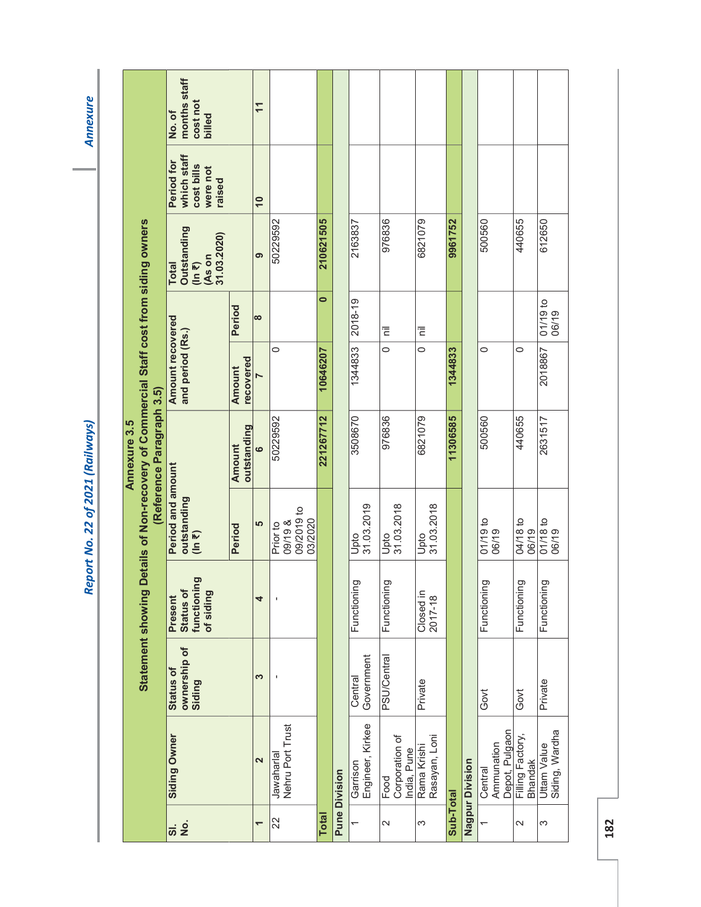**Annexure** 

|                                                                                                                 | months staff<br>cost not<br>No.of<br>billed                                                |                       | $\overline{1}$  |                                              |              |                      |                              |                                       |                              |           |                        |                                         |                            |                                      |
|-----------------------------------------------------------------------------------------------------------------|--------------------------------------------------------------------------------------------|-----------------------|-----------------|----------------------------------------------|--------------|----------------------|------------------------------|---------------------------------------|------------------------------|-----------|------------------------|-----------------------------------------|----------------------------|--------------------------------------|
|                                                                                                                 | which staff<br>Period for<br>cost bills<br>were not<br>raised                              |                       | $\overline{10}$ |                                              |              |                      |                              |                                       |                              |           |                        |                                         |                            |                                      |
|                                                                                                                 | <b>Outstanding</b><br>31.03.2020)<br>$(\ln \overline{\epsilon})$<br>(As on<br><b>Total</b> |                       | ၜ               | 50229592                                     | 210621505    |                      | 2163837                      | 976836                                | 6821079                      | 9961752   |                        | 500560                                  | 440655                     | 612650                               |
|                                                                                                                 |                                                                                            | Period                | $\infty$        |                                              | $\bullet$    |                      | 2018-19                      | Ē                                     | Ē                            |           |                        |                                         |                            | o1/19 to<br>06/19                    |
|                                                                                                                 | Amount recovered<br>and period (Rs.)                                                       | recovered<br>Amount   | N               | 0                                            | 10646207     |                      | 1344833                      | $\circ$                               | $\circ$                      | 1344833   |                        | $\circ$                                 | 0                          | 2018867                              |
| Details of Non-recovery of Commercial Staff cost from siding owners<br>Reference Paragraph 3.5)<br>Annexure 3.5 |                                                                                            | outstanding<br>Amount | $\bullet$       | 50229592                                     | 221267712    |                      | 3508670                      | 976836                                | 6821079                      | 11306585  |                        | 500560                                  | 440655                     | 2631517                              |
|                                                                                                                 | Period and amount<br>outstanding<br>$($ In $\overline{z}$                                  | Period                | မ               | 09/2019 to<br>03/2020<br>09/19 &<br>Prior to |              |                      | 31.03.2019<br>Upto           | Upto<br>31.03.2018                    | 31.03.2018<br>Upto           |           |                        | 01/19 to<br>06/19                       | 04/18 to<br>06/19          | $01/18$ to<br>06/19                  |
|                                                                                                                 | functioning<br>Status of<br>of siding<br>Present                                           |                       | 4               |                                              |              |                      | Functioning                  | Functioning                           | Closed in<br>2017-18         |           |                        | Functioning                             | Functioning                | Functioning                          |
| <b>Statement showing</b>                                                                                        | ownership of<br><b>Status of</b><br>Siding                                                 |                       | S               |                                              |              |                      | Government<br>Central        | <b>PSU/Central</b>                    | Private                      |           |                        | Govt                                    | Govt                       | Private                              |
|                                                                                                                 | Siding Owner                                                                               |                       | 2               | Nehru Port Trust<br>Jawaharlal               |              | <b>Pune Division</b> | Engineer, Kirkee<br>Garrison | Corporation of<br>India, Pune<br>Food | Rasayan, Loni<br>Rama Krishi |           | <b>Nagpur Division</b> | Depot, Pulgaon<br>Ammunation<br>Central | Filling Factory<br>Bhandak | Siding, Wardha<br><b>Uttam Value</b> |
|                                                                                                                 | $\frac{1}{2}$<br><u>ა</u>                                                                  |                       | ٣               | 22                                           | <b>Total</b> |                      |                              | $\mathbf{\Omega}$                     | S                            | Sub-Total |                        |                                         | 2                          | 3                                    |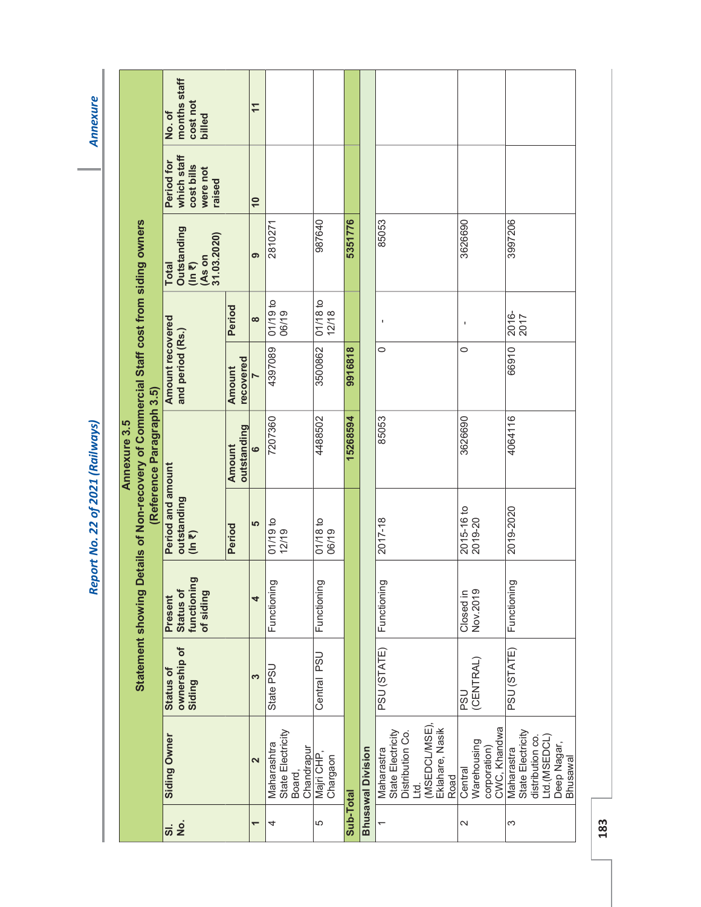**Annexure** 

|                                                                                                                 |                                            | months staff<br>cost not<br>No.of<br>billed                                 |                     | $\overline{1}$      |                                                          |                       |           |                          |                                                                                                       |                                                        |                                                                                                |
|-----------------------------------------------------------------------------------------------------------------|--------------------------------------------|-----------------------------------------------------------------------------|---------------------|---------------------|----------------------------------------------------------|-----------------------|-----------|--------------------------|-------------------------------------------------------------------------------------------------------|--------------------------------------------------------|------------------------------------------------------------------------------------------------|
|                                                                                                                 |                                            | which staff<br>Period for<br>cost bills<br>were not<br>raised               |                     | $\overline{10}$     |                                                          |                       |           |                          |                                                                                                       |                                                        |                                                                                                |
|                                                                                                                 |                                            | Outstanding<br>31.03.2020)<br>(As on<br>$(ln \overline{z})$<br><b>Total</b> |                     | თ                   | 2810271                                                  | 987640                | 5351776   |                          | 85053                                                                                                 | 3626690                                                | 3997206                                                                                        |
|                                                                                                                 |                                            |                                                                             | Period              | $\infty$            | 01/19 to<br>06/19                                        | $01/18$ to<br>12/18   |           |                          |                                                                                                       | J,                                                     | 2016-<br>2017                                                                                  |
|                                                                                                                 |                                            | <b>Amount recovered</b><br>and period (Rs.)                                 | recovered<br>Amount | $\overline{a}$      | 4397089                                                  | 3500862               | 9916818   |                          | $\circ$                                                                                               | $\circ$                                                | 66910                                                                                          |
| Details of Non-recovery of Commercial Staff cost from siding owners<br>Reference Paragraph 3.5)<br>Annexure 3.5 |                                            | outstanding<br>Amount                                                       | $\bullet$           | 7207360             | 4488502                                                  | 15268594              |           | 85053                    | 3626690                                                                                               | 4064116                                                |                                                                                                |
|                                                                                                                 | Period and amount<br>outstanding<br>(ln 7) | Period                                                                      | မာ                  | $01/19$ to<br>12/19 | 01/18 to<br>06/19                                        |                       |           | 2017-18                  | 2015-16 to<br>2019-20                                                                                 | 2019-2020                                              |                                                                                                |
|                                                                                                                 |                                            | functioning<br>Status of<br>of siding<br>Present                            |                     | 4                   | Functioning                                              | Functioning           |           |                          | Functioning                                                                                           | Nov.2019<br>Closed in                                  | Functioning                                                                                    |
|                                                                                                                 | <b>Statement showing</b>                   | ownership of<br><b>Status of</b><br>Siding                                  |                     | 3                   | State PSU                                                | Central PSU           |           |                          | PSU (STATE)                                                                                           | (CENTRAL)<br><b>DSS</b>                                | PSU (STATE)                                                                                    |
|                                                                                                                 |                                            | Siding Owner                                                                |                     | 2                   | State Electricity<br>Maharashtra<br>Chandrapur<br>Board, | Majri CHP<br>Chargaon |           | <b>Bhusawal Division</b> | (MSEDCL/MSE),<br>Eklahare, Nasik<br>State Electricity<br>Distribution Co.<br>Maharastra<br>Road<br>gi | CWC, Khandwa<br>Warehousing<br>corporation)<br>Central | State Electricity<br>distribution co.<br>Ltd.(MSEDCL)<br>Deep Nagar,<br>Maharastra<br>Bhusawal |
|                                                                                                                 |                                            | <u>ត់  ខំ</u>                                                               |                     | ٣                   | 4                                                        | 5                     | Sub-Total |                          |                                                                                                       | $\sim$                                                 | 3                                                                                              |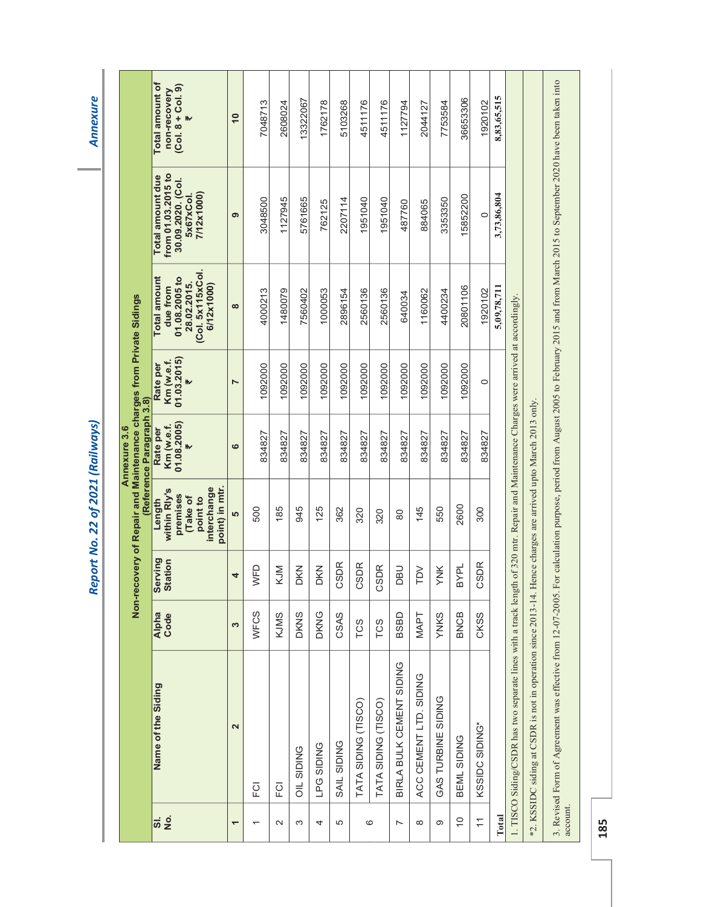**Annexure** 

|                     |                                                                                                                                                                                          |               |                           |                                                                                            | Annexure 3.6                               |                                            |                                                                                                   |                                                                                        |                                                                        |
|---------------------|------------------------------------------------------------------------------------------------------------------------------------------------------------------------------------------|---------------|---------------------------|--------------------------------------------------------------------------------------------|--------------------------------------------|--------------------------------------------|---------------------------------------------------------------------------------------------------|----------------------------------------------------------------------------------------|------------------------------------------------------------------------|
|                     |                                                                                                                                                                                          |               |                           | Non-recovery of Repair and Maintenance charges from Private Sidings                        | (Reference Paragraph 3.8)                  |                                            |                                                                                                   |                                                                                        |                                                                        |
| $\vec{a}$ $\vec{a}$ | Name of the Siding                                                                                                                                                                       | Alpha<br>Code | <b>Serving</b><br>Station | point) in mtr.<br>interchange<br>within Rly's<br>premises<br>Take of<br>point to<br>Length | 01.08.2005)<br>Km (w.e.f.<br>Rate per<br>W | 01.03.2015)<br>Km (w.e.f.<br>Rate per<br>W | (Col. 5x115xCol.<br><b>Total amount</b><br>01.08.2005 to<br>28.02.2015.<br>6/12x1000)<br>due from | from 01.03.2015 to<br>Total amount due<br>30.09.2020. (Col.<br>7/12x1000)<br>5x67xCol. | Total amount of<br>$(Col. 8 + Col. 9)$<br>non-recovery<br>$\mathbf{h}$ |
| ٣                   | 2                                                                                                                                                                                        | S             | 4                         | <b>LO</b>                                                                                  | ဖ                                          | $\overline{ }$                             | $\infty$                                                                                          | ၈                                                                                      | $\overline{10}$                                                        |
| $\overline{ }$      | ΞŪ                                                                                                                                                                                       | WFCS          | WFD                       | 500                                                                                        | 834827                                     | 1092000                                    | 4000213                                                                                           | 3048500                                                                                | 7048713                                                                |
| $\sim$              | 준                                                                                                                                                                                        | KJMS          | KJM                       | 185                                                                                        | 834827                                     | 1092000                                    | 1480079                                                                                           | 1127945                                                                                | 2608024                                                                |
| S                   | <b>OIL SIDING</b>                                                                                                                                                                        | <b>DKNS</b>   | DKN                       | 945                                                                                        | 834827                                     | 1092000                                    | 7560402                                                                                           | 5761665                                                                                | 13322067                                                               |
| 4                   | <b>LPG SIDING</b>                                                                                                                                                                        | <b>DKNG</b>   | DKN                       | 125                                                                                        | 834827                                     | 1092000                                    | 1000053                                                                                           | 762125                                                                                 | 1762178                                                                |
| 5                   | <b>SAIL SIDING</b>                                                                                                                                                                       | CSAS          | <b>SDR</b><br>ပ           | 362                                                                                        | 834827                                     | 1092000                                    | 2896154                                                                                           | 2207114                                                                                | 5103268                                                                |
| 6                   | TATA SIDING (TISCO)                                                                                                                                                                      | TCS           | CSDR                      | 320                                                                                        | 834827                                     | 1092000                                    | 2560136                                                                                           | 1951040                                                                                | 4511176                                                                |
|                     | TATA SIDING (TISCO)                                                                                                                                                                      | TCS           | CSDR                      | 320                                                                                        | 834827                                     | 1092000                                    | 2560136                                                                                           | 1951040                                                                                | 4511176                                                                |
| $\overline{ }$      | BIRLA BULK CEMENT SIDING                                                                                                                                                                 | BSBD          | DBU                       | 80                                                                                         | 834827                                     | 1092000                                    | 640034                                                                                            | 487760                                                                                 | 1127794                                                                |
| $\infty$            | ACC CEMENT LTD. SIDING                                                                                                                                                                   | <b>MAPT</b>   | <b>Ndl</b>                | 145                                                                                        | 834827                                     | 1092000                                    | 1160062                                                                                           | 884065                                                                                 | 2044127                                                                |
| တ                   | GAS TURBINE SIDING                                                                                                                                                                       | <b>YNKS</b>   | YNK                       | 550                                                                                        | 834827                                     | 1092000                                    | 4400234                                                                                           | 3353350                                                                                | 7753584                                                                |
| $\overline{C}$      | BEML SIDING                                                                                                                                                                              | <b>BNCB</b>   | <b>BYPL</b>               | 2600                                                                                       | 834827                                     | 1092000                                    | 20801106                                                                                          | 15852200                                                                               | 36653306                                                               |
| $\overline{1}$      | KSSIDC SIDING*                                                                                                                                                                           | CKSS          | <b>SDR</b><br>ပ           | 300                                                                                        | 834827                                     | $\circ$                                    | 1920102                                                                                           | O                                                                                      | 1920102                                                                |
| Total               |                                                                                                                                                                                          |               |                           |                                                                                            |                                            |                                            | 5,09,78,711                                                                                       | 3,73,86,804                                                                            | 8,83,65,515                                                            |
|                     | 1. TISCO Siding/CSDR has two separate lines with a track length                                                                                                                          |               |                           | of 320 mtr. Repair and Maintenance Charges were arrived at accordingly.                    |                                            |                                            |                                                                                                   |                                                                                        |                                                                        |
| $\tilde{C}^*$       | KSSIDC siding at CSDR is not in operation since 2013-14. Hence charges are arrived upto March 2013 only.                                                                                 |               |                           |                                                                                            |                                            |                                            |                                                                                                   |                                                                                        |                                                                        |
| account.            | 3. Revised Form of Agreement was effective from 12-07-2005. For calculation purpose, period from August 2005 to February 2015 and from March 2015 to September 2020 have been taken into |               |                           |                                                                                            |                                            |                                            |                                                                                                   |                                                                                        |                                                                        |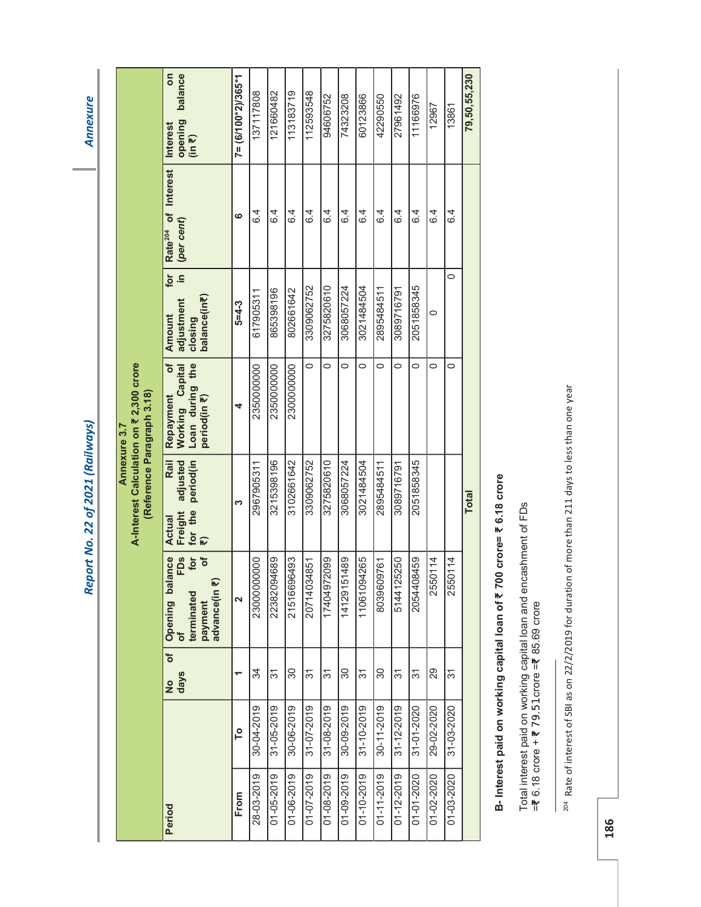**Annexure** 

|                                                                                       | balance<br>S<br>opening<br>(in ₹)<br>Interest                                                       | $7 = (6/100*2)/365*1$   | 137117808       | 121660482       | 113183719   | 112593548        | 94606752    | 74323208        | 60123866    | 42290550         | 27961492   | 11166976        | 12967      | 13861      | 79,50,55,230 |
|---------------------------------------------------------------------------------------|-----------------------------------------------------------------------------------------------------|-------------------------|-----------------|-----------------|-------------|------------------|-------------|-----------------|-------------|------------------|------------|-----------------|------------|------------|--------------|
|                                                                                       | Rate <sup>204</sup> of Interest<br>(per cent)                                                       | ဖ                       | $6\overline{4}$ | $6\overline{4}$ | 6.4         | 6.4              | 6.4         | $6\overline{4}$ | 6.4         | 6.4              | 6.4        | $6\overline{4}$ | 6.4        | 6.4        |              |
|                                                                                       | for<br>$\frac{1}{10}$<br>balance(in₹)<br>adjustment<br>closing<br>Amount                            | 5=4-3                   | 617905311       | 865398196       | 802661642   | 3309062752       | 3275820610  | 3068057224      | 3021484504  | 2895484511       | 3089716791 | 2051858345      | 0          | 0          |              |
|                                                                                       | ð<br>Working Capital<br>Loan during the<br>Repayment<br>period(in ₹)                                | 4                       | 2350000000      | 2350000000      | 2300000000  | $\circ$          | $\circ$     | $\circ$         | $\circ$     | $\circ$          | $\circ$    | 0               | $\circ$    | 0          |              |
| A-Interest Calculation on ₹ 2,300 crore<br>(Reference Paragraph 3.18)<br>Annexure 3.7 | adjusted<br>Rail<br>period(in<br>Freight<br>for the<br>Actual                                       | ო                       | 2967905311      | 3215398196      | 3102661642  | 3309062752       | 3275820610  | 3068057224      | 3021484504  | 2895484511       | 3089716791 | 2051858345      |            |            | <b>Total</b> |
|                                                                                       | FD <sub>s</sub><br>$\delta$<br>lance<br>Opening bal<br>of<br>payment<br>advance(in ₹)<br>terminated | $\overline{\mathbf{C}}$ | 23000000000     | 22382094689     | 21516696493 | 20714034851      | 660ZZ6707Z1 | 14129151489     | 11061094265 | 8039609761       | 5144125250 | 2054408459      | 2550114    | 2550114    |              |
|                                                                                       | $\overline{\phantom{a}}$<br>No<br>days                                                              |                         | 34              | 31              | 30          | 31               | 37          | 30              | 31          | 30               | 37         | 31              | 29         | 37         |              |
|                                                                                       |                                                                                                     | Lo                      | 30-04-2019      | 31-05-2019      | 30-06-2019  | 31-07-2019       | 31-08-2019  | 30-09-2019      | 31-10-2019  | 30-11-2019       | 31-12-2019 | 31-01-2020      | 29-02-2020 | 31-03-2020 |              |
|                                                                                       | Period                                                                                              | From                    | 28-03-2019      | 01-05-2019      | 01-06-2019  | $01 - 07 - 2019$ | 01-08-2019  | 01-09-2019      | 01-10-2019  | $01 - 11 - 2019$ | 01-12-2019 | 01-01-2020      | 01-02-2020 | 01-03-2020 |              |

## B-Interest paid on working capital loan of ₹ 700 crore= ₹ 6.18 crore B- Interest paid on working capital loan of ₹ 700 crore= ₹ 6.18 crore

Total interest paid on working capital loan and encashment of FDs<br>=₹ 6.18 crore + ₹ 79.51crore =₹ 85.69 crore Total interest paid on working capital loan and encashment of FDs =₹ 6.18 crore + ₹ 79.51 crore =₹ 85.69 crore

 $^{204}$  Rate of interest of SBI as on 22/2/2019 for duration of more than 211 days to less than one year  $^{204}$  Rate of interest of SBI as on 22/2/2019 for duration of more than 211 days to less than one year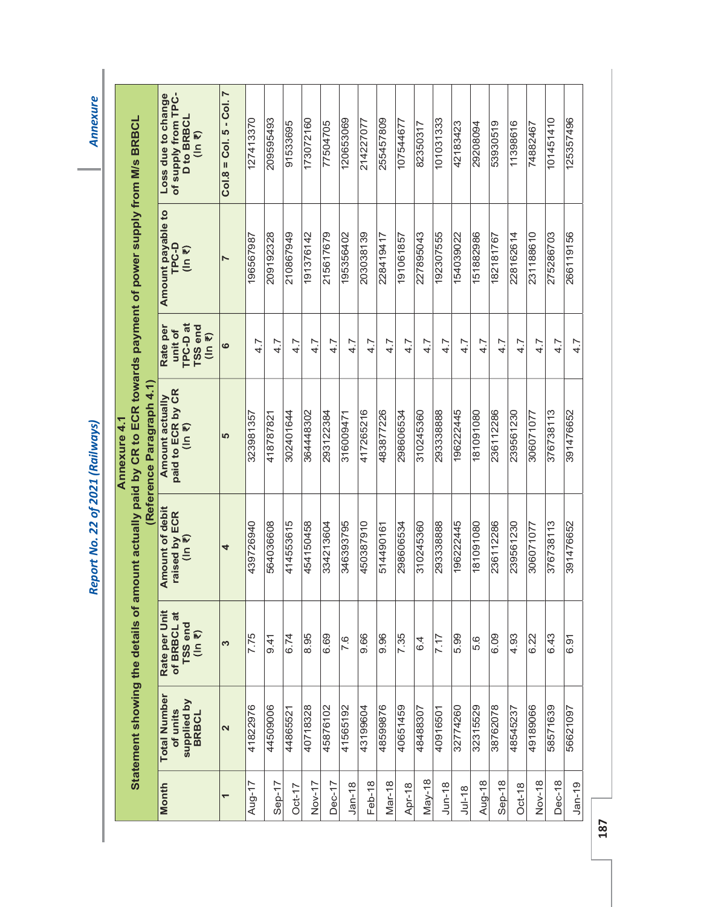|                           | of supply from TPC-<br>Loss due to change<br><b>D to BRBCL</b><br>(ln 7) | $Col.8 = Col.5 - Col.7$ | 127413370 | 209595493 | 91533695  | 173072160 | 77504705  | 120653069 | 214227077 | 255457809 | 107544677 | 82350317       | 101031333 | 42183423  | 29208094  | 53930519  | 11398616  | 74882467  | 101451410 | 125357496 |
|---------------------------|--------------------------------------------------------------------------|-------------------------|-----------|-----------|-----------|-----------|-----------|-----------|-----------|-----------|-----------|----------------|-----------|-----------|-----------|-----------|-----------|-----------|-----------|-----------|
|                           | Amount payable to<br><b>TPC-D</b><br>(ln 2)                              |                         | 196567987 | 209192328 | 210867949 | 191376142 | 215617679 | 195356402 | 203038139 | 228419417 | 191061857 | 227895043      | 192307555 | 154039022 | 151882986 | 182181767 | 228162614 | 231188610 | 275286703 | 266119156 |
|                           | TPC-D at<br>Rate per<br>TSS end<br>unit of<br>(ln 7)                     | ဖ                       | 4.7       | 4.7       | 4.7       | 4.7       | 4.7       | 4.7       | 4.7       | 4.7       | 4.7       | 4.7            | 4.7       | 4.7       | 4.7       | 4.7       | 4.7       | 4.7       | 4.7       | 4.7       |
| (Reference Paragraph 4.1) | paid to ECR by CR<br>Amount actually<br>(ln 7)                           | 5                       | 323981357 | 418787821 | 302401644 | 364448302 | 293122384 | 316009471 | 417265216 | 483877226 | 298606534 | 310245360      | 293338888 | 196222445 | 181091080 | 236112286 | 239561230 | 306071077 | 376738113 | 391476652 |
|                           | <b>Amount of debit</b><br>raised by ECR<br>$(ln \overline{z})$           | 4                       | 439726940 | 564036608 | 414553615 | 454150458 | 334213604 | 346393795 | 450387910 | 514490161 | 298606534 | 310245360      | 293338888 | 196222445 | 181091080 | 236112286 | 239561230 | 306071077 | 376738113 | 391476652 |
|                           | Rate per Unit<br>of BRBCL at<br>TSS end<br>(ln 7)                        | S                       | 7.75      | 9.41      | 6.74      | 8.95      | 6.69      | 7.6       | 9.66      | 9.96      | 7.35      | $\overline{6}$ | 7.17      | 5.99      | 5.6       | 6.09      | 4.93      | 6.22      | 6.43      | 6.91      |
|                           | <b>Total Number</b><br>supplied by<br>BRBCL<br>of units                  | 2                       | 41822976  | 44509006  | 44865521  | 40718328  | 45876102  | 41565192  | 43199604  | 48599876  | 40651459  | 48488307       | 40916501  | 32774260  | 32315529  | 38762078  | 48545237  | 49189066  | 58571639  | 56621097  |
|                           | Month                                                                    |                         | Aug-17    | Sep-17    | $Oct-17$  | Nov-17    | $Dec-17$  | $Jan-18$  | Feb-18    | Mar-18    | Apr-18    | $May-18$       | $J$ un-18 | $Jul-18$  | Aug-18    | $Sep-18$  | $Oct-18$  | Nov-18    | Dec-18    | $Jan-19$  |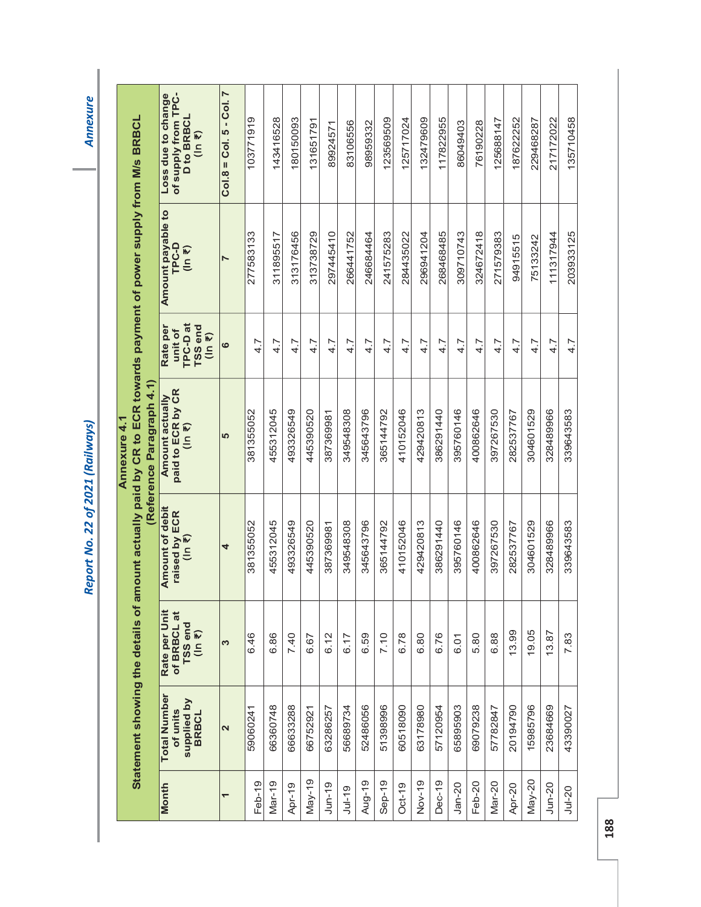**Annexure** 

|                                                                                                  |                           | of supply from TPC-<br>Loss due to change<br><b>D</b> to BRBCL<br>(ln 7) | $Col.8 = Col.5 - Col.7$ | 103771919 | 143416528 | 180150093 | 131651791 | 89924571  | 83106556  | 98959332  | 123569509 | 125717024 | 132479609 | 117822955 | 86049403  | 76190228  | 125688147 | 187622252 | 229468287 | 217172022 | 135710458  |  |
|--------------------------------------------------------------------------------------------------|---------------------------|--------------------------------------------------------------------------|-------------------------|-----------|-----------|-----------|-----------|-----------|-----------|-----------|-----------|-----------|-----------|-----------|-----------|-----------|-----------|-----------|-----------|-----------|------------|--|
|                                                                                                  |                           | Amount payable to<br>TPC-D<br>(ln 7)                                     | $\blacktriangleright$   | 277583133 | 311895517 | 313176456 | 313738729 | 297445410 | 266441752 | 246684464 | 241575283 | 284435022 | 296941204 | 268468485 | 309710743 | 324672418 | 271579383 | 94915515  | 75133242  | 111317944 | 203933125  |  |
|                                                                                                  |                           | TPC-Dat<br>TSS end<br>Rate per<br>unit of<br>(ln 7)                      | ဖ                       | 4.7       | 4.7       | 4.7       | 4.7       | 4.7       | 4.7       | 4.7       | 4.7       | 4.7       | 4.7       | 4.7       | 4.7       | 4.7       | 4.7       | 4.7       | 4.7       | 4.7       | 4.7        |  |
| amount actually paid by CR to ECR towards payment of power supply from M/s BRBCL<br>Annexure 4.1 | (Reference Paragraph 4.1) | paid to ECR by CR<br><b>Amount actually</b><br>$(ln \overline{z})$       | LO                      | 381355052 | 455312045 | 493326549 | 445390520 | 387369981 | 349548308 | 345643796 | 365144792 | 410152046 | 429420813 | 386291440 | 395760146 | 400862646 | 397267530 | 282537767 | 304601529 | 328489966 | 339643583  |  |
|                                                                                                  |                           | <b>Amount of debit</b><br>raised by ECR<br>(In ₹)                        | 4                       | 381355052 | 455312045 | 493326549 | 445390520 | 387369981 | 349548308 | 345643796 | 365144792 | 410152046 | 429420813 | 386291440 | 395760146 | 400862646 | 397267530 | 282537767 | 304601529 | 328489966 | 339643583  |  |
|                                                                                                  |                           | Rate per Unit<br>of BRBCL at<br>TSS end<br>(ln 7)                        | S                       | 6.46      | 6.86      | 7.40      | 6.67      | 6.12      | 6.17      | 6.59      | 7.10      | 6.78      | 6.80      | 6.76      | 6.01      | 5.80      | 6.88      | 13.99     | 19.05     | 13.87     | 7.83       |  |
| Statement showing the details of                                                                 |                           | <b>Total Number</b><br>supplied by<br>of units<br><b>BRBCL</b>           | $\mathbf{\Omega}$       | 59060241  | 66360748  | 66633288  | 66752921  | 63286257  | 56689734  | 52486056  | 51398996  | 60518090  | 63178980  | 57120954  | 65895903  | 69079238  | 57782847  | 20194790  | 15985796  | 23684669  | 43390027   |  |
|                                                                                                  |                           | Month                                                                    | ۳                       | Feb-19    | Mar-19    | Apr-19    | $May-19$  | $J$ un-19 | $Jul-19$  | Aug-19    | $Sep-19$  | $Oct-19$  | Nov-19    | Dec-19    | $Jan-20$  | Feb-20    | Mar-20    | Apr-20    | $May-20$  | $J$ un-20 | $Ju$ $-20$ |  |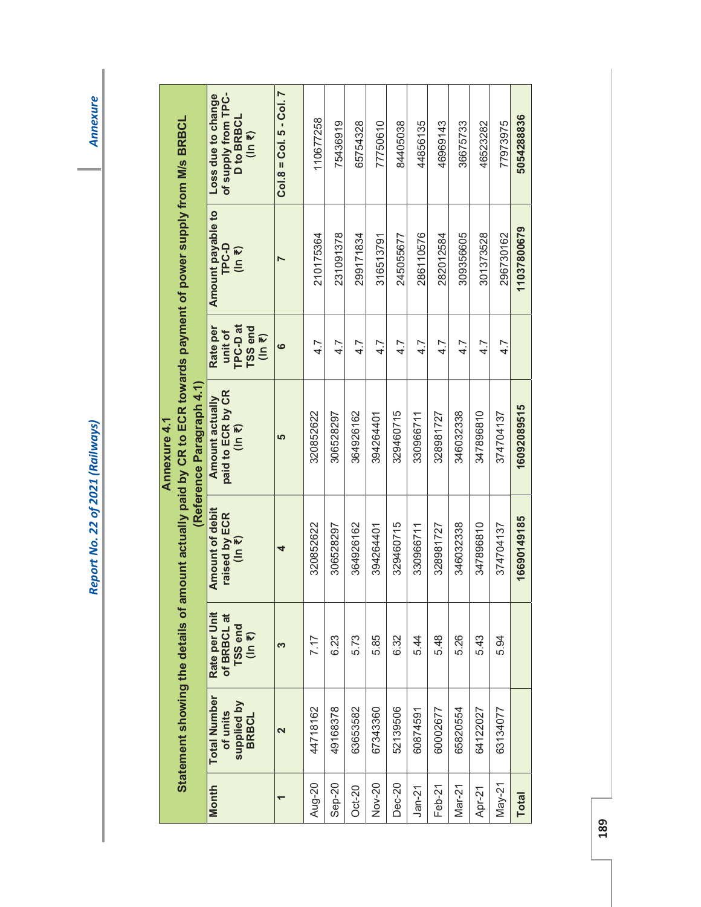|                 |                                                         |                                                  |                                                   | Statement showing the details of amount actually paid by CR to ECR towards payment of power supply from M/s BRBCL<br>Reference Paragraph 4.1<br>Annexure 4.1 |                                                                            |                                             |                                                                   |
|-----------------|---------------------------------------------------------|--------------------------------------------------|---------------------------------------------------|--------------------------------------------------------------------------------------------------------------------------------------------------------------|----------------------------------------------------------------------------|---------------------------------------------|-------------------------------------------------------------------|
| <b>Month</b>    | <b>Total Number</b><br>supplied by<br>BRBCL<br>of units | Rate per Unit<br>of BRBCL at<br>$TSS end (ln 7)$ | <b>Amount of debit</b><br>raised by ECR<br>(ln 7) | paid to ECR by CR<br><b>Amount actually</b><br>$(1n \; \overline{\overline{\epsilon}})$                                                                      | TPC-Dat<br>TSS end<br>Rate per<br>unit of<br>$(1n \, \overline{\epsilon})$ | Amount payable to<br><b>TPC-D</b><br>(ln 7) | of supply from TPC-<br>Loss due to change<br>D to BRBCL<br>(ln 7) |
|                 | 2                                                       | S                                                | 4                                                 | <b>LO</b>                                                                                                                                                    | ဖ                                                                          |                                             | $Col.8 = Col.5 - Col.7$                                           |
| Aug-20          | 44718162                                                | 7.17                                             | 320852622                                         | 320852622                                                                                                                                                    | 4.7                                                                        | 210175364                                   | 110677258                                                         |
| $Sep-20$        | 49168378                                                | 6.23                                             | 306528297                                         | 306528297                                                                                                                                                    | 4.7                                                                        | 231091378                                   | 75436919                                                          |
| $Oct-20$        | 63653582                                                | 5.73                                             | 364926162                                         | 364926162                                                                                                                                                    | 4.7                                                                        | 299171834                                   | 65754328                                                          |
| Nov-20          | 67343360                                                | 5.85                                             | 394264401                                         | 394264401                                                                                                                                                    | 4.7                                                                        | 316513791                                   | 77750610                                                          |
| Dec-20          | 52139506                                                | 6.32                                             | 329460715                                         | 329460715                                                                                                                                                    | 4.7                                                                        | 245055677                                   | 84405038                                                          |
| $Jan-21$        | 60874591                                                | 5.44                                             | 330966711                                         | 330966711                                                                                                                                                    | 4.7                                                                        | 286110576                                   | 44856135                                                          |
| Feb-21          | 60002677                                                | 5.48                                             | 328981727                                         | 328981727                                                                                                                                                    | 4.7                                                                        | 282012584                                   | 46969143                                                          |
| $Mar-21$        | 65820554                                                | 5.26                                             | 346032338                                         | 346032338                                                                                                                                                    | 4.7                                                                        | 309356605                                   | 36675733                                                          |
| Apr-21          | 64122027                                                | 5.43                                             | 347896810                                         | 347896810                                                                                                                                                    | 4.7                                                                        | 301373528                                   | 46523282                                                          |
| $\text{May-21}$ | 63134077                                                | 5.94                                             | 374704137                                         | 374704137                                                                                                                                                    | 4.7                                                                        | 296730162                                   | 77973975                                                          |
| <b>Total</b>    |                                                         |                                                  | 16690149185                                       | 16092089515                                                                                                                                                  |                                                                            | 11037800679                                 | 5054288836                                                        |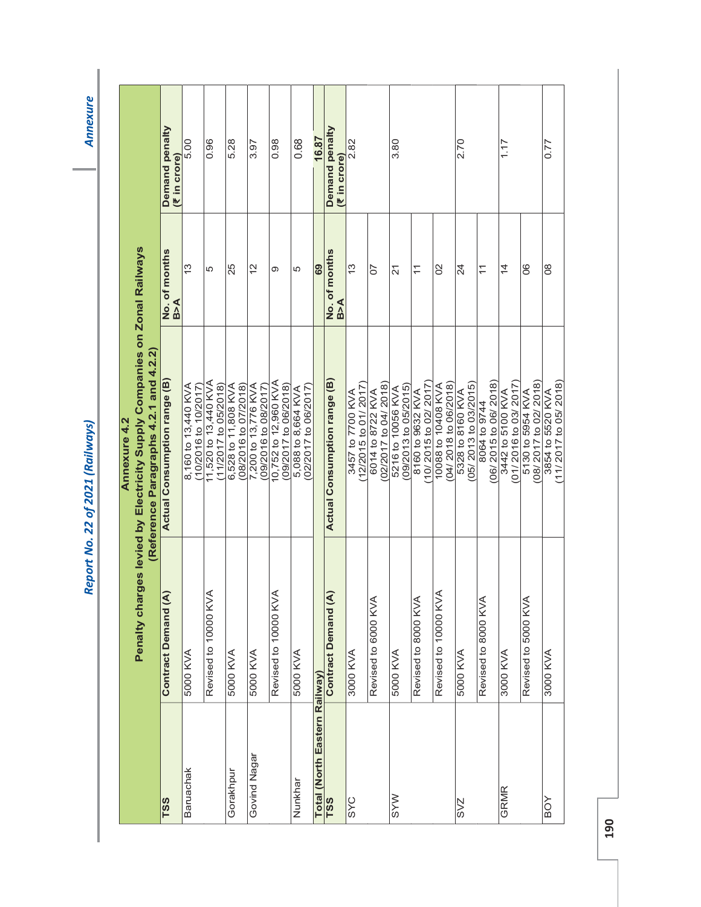**Annexure** 

|                                      |                      | Annexure 4.2                                                                                                       |                         |                                |
|--------------------------------------|----------------------|--------------------------------------------------------------------------------------------------------------------|-------------------------|--------------------------------|
|                                      |                      | Penalty charges levied by Electricity Supply Companies on Zonal Railways<br>(Reference Paragraphs 4.2.1 and 4.2.2) |                         |                                |
| <b>TSS</b>                           | Contract Demand (A)  | Actual Consumption range (B)                                                                                       | No. of months<br>B>A    | Demand penalty<br>(₹ in crore) |
| Baruachak                            | 5000 KVA             | 8,160 to 13,440 KVA<br>$(10/2016$ to $10/2017)$                                                                    | 13                      | 5.00                           |
|                                      | Revised to 10000 KVA | 11,520 to 13,440 KVA<br>11/2017 to 05/2018)                                                                        | 5                       | 0.96                           |
| Gorakhpur                            | 5000 KVA             | 6,528 to 11,808 KVA<br>(08/2016 to 07/2018)                                                                        | 25                      | 5.28                           |
| Govind Nagar                         | 5000 KVA             | 7,200 to 13,776 KVA<br>09/2016 to 08/2017                                                                          | $\frac{2}{3}$           | 3.97                           |
|                                      | Revised to 10000 KVA | 10,752 to 12,960 KVA<br>09/2017 to 06/2018)                                                                        | Φ                       | 0.98                           |
| Nunkhar                              | 5000 KVA             | 02/2017 to 06/2017<br>5,088 to 8,664 KVA                                                                           | 5                       | 0.68                           |
|                                      |                      |                                                                                                                    | 69                      | 16.87                          |
| Total (North Eastern Railway)<br>TSS | Contract Demand (A   | Actual Consumption range (B)                                                                                       | No. of months<br>B>A    | Demand penalty<br>(₹ in crore) |
| SYC                                  | 3000 KVA             | 12/2015 to 01/2017<br>3457 to 7700 KVA                                                                             | $\frac{3}{2}$           | 2.82                           |
|                                      | Revised to 6000 KVA  | 02/2017 to 04/2018<br>6014 to 8722 KVA                                                                             | 50                      |                                |
| <b>MAS</b>                           | 5000 KVA             | (09/2013 to 05/2015)<br>5216 to 10056 KVA                                                                          | 21                      | 3.80                           |
|                                      | Revised to 8000 KVA  | 10/2015 to 02/2017)<br>8160 to 9632 KVA                                                                            | $\overleftarrow{\cdot}$ |                                |
|                                      | Revised to 10000 KVA | $(04/2018$ to $06/2018)$<br>AVY 80701 of 88001                                                                     | $\overline{0}$          |                                |
| <b>SVZ</b>                           | 5000 KVA             | (05/ 2013 to 03/2015)<br>5328 to 8160 KVA                                                                          | 24                      | 2.70                           |
|                                      | Revised to 8000 KVA  | 06/2015 to 06/2018)<br>8064 to 9744                                                                                | $\overline{\mathbf{r}}$ |                                |
| GRMR                                 | <b>SOOO KVA</b>      | 01/2016 to 03/2017<br>3442 to 5100 KVA                                                                             | $\overline{4}$          | 1.17                           |
|                                      | Revised to 5000 KVA  | 08/2017 to 02/2018)<br>5130 to 5954 KVA                                                                            | 80                      |                                |
| BOY                                  | 3000 KVA             | (11/2017 to 05/2018)<br>3854 to 5520 KVA                                                                           | $\frac{8}{2}$           | 0.77                           |
|                                      |                      |                                                                                                                    |                         |                                |